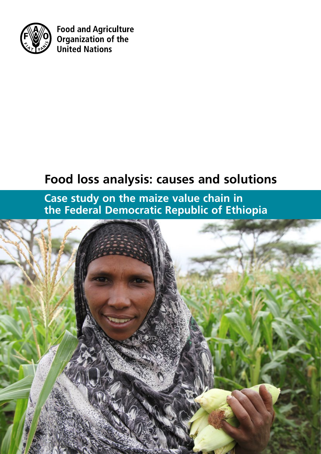

**Food and Agriculture** Organization of the **United Nations** 

# **Food loss analysis: causes and solutions**

**Case study on the maize value chain in the Federal Democratic Republic of Ethiopia**

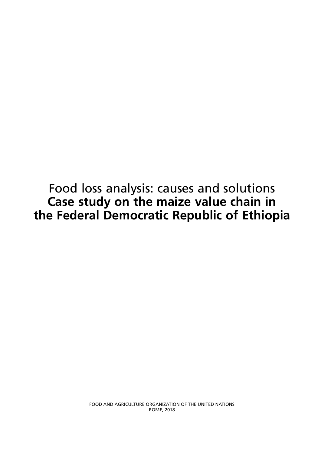Food loss analysis: causes and solutions **Case study on the maize value chain in the Federal Democratic Republic of Ethiopia**

> FOOD AND AGRICULTURE ORGANIZATION OF THE UNITED NATIONS ROME, 2018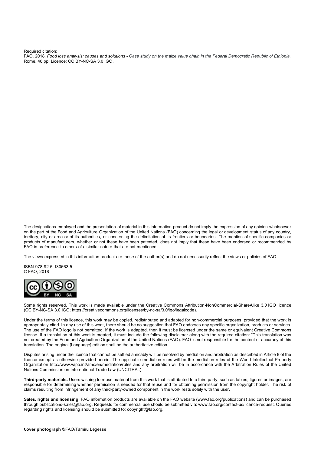Required citation:

FAO. 2018. *Food loss analysis: causes and solutions - Case study on the maize value chain in the Federal Democratic Republic of Ethiopia.*  Rome. 46 pp. Licence: CC BY-NC-SA 3.0 IGO.

The designations employed and the presentation of material in this information product do not imply the expression of any opinion whatsoever on the part of the Food and Agriculture Organization of the United Nations (FAO) concerning the legal or development status of any country, territory, city or area or of its authorities, or concerning the delimitation of its frontiers or boundaries. The mention of specific companies or products of manufacturers, whether or not these have been patented, does not imply that these have been endorsed or recommended by FAO in preference to others of a similar nature that are not mentioned.

The views expressed in this information product are those of the author(s) and do not necessarily reflect the views or policies of FAO.

ISBN 978-92-5-130663-5 © FAO, 2018



Some rights reserved. This work is made available under the Creative Commons Attribution-NonCommercial-ShareAlike 3.0 IGO licence (CC BY-NC-SA 3.0 IGO; https://creativecommons.org/licenses/by-nc-sa/3.0/igo/legalcode).

Under the terms of this licence, this work may be copied, redistributed and adapted for non-commercial purposes, provided that the work is appropriately cited. In any use of this work, there should be no suggestion that FAO endorses any specific organization, products or services. The use of the FAO logo is not permitted. If the work is adapted, then it must be licensed under the same or equivalent Creative Commons license. If a translation of this work is created, it must include the following disclaimer along with the required citation: "This translation was not created by the Food and Agriculture Organization of the United Nations (FAO). FAO is not responsible for the content or accuracy of this translation. The original [Language] edition shall be the authoritative edition.

Disputes arising under the licence that cannot be settled amicably will be resolved by mediation and arbitration as described in Article 8 of the licence except as otherwise provided herein. The applicable mediation rules will be the mediation rules of the World Intellectual Property Organization http://www.wipo.int/amc/en/mediation/rules and any arbitration will be in accordance with the Arbitration Rules of the United Nations Commission on International Trade Law (UNCITRAL).

**Third-party materials.** Users wishing to reuse material from this work that is attributed to a third party, such as tables, figures or images, are responsible for determining whether permission is needed for that reuse and for obtaining permission from the copyright holder. The risk of claims resulting from infringement of any third-party-owned component in the work rests solely with the user.

**Sales, rights and licensing**. FAO information products are available on the FAO website (www.fao.org/publications) and can be purchased through publications-sales@fao.org. Requests for commercial use should be submitted via: www.fao.org/contact-us/licence-request. Queries regarding rights and licensing should be submitted to: copyright@fao.org.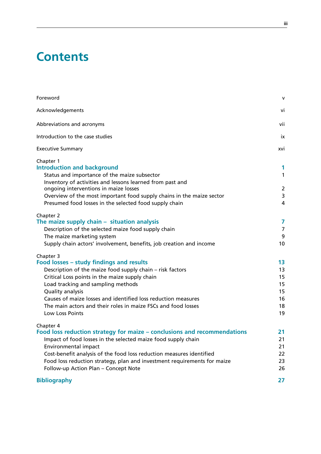# **Contents**

| Foreword                                                                                                                                                                                                                                                                       | V                              |
|--------------------------------------------------------------------------------------------------------------------------------------------------------------------------------------------------------------------------------------------------------------------------------|--------------------------------|
| Acknowledgements                                                                                                                                                                                                                                                               | vi                             |
| Abbreviations and acronyms                                                                                                                                                                                                                                                     | vii                            |
| Introduction to the case studies                                                                                                                                                                                                                                               | İХ                             |
| <b>Executive Summary</b>                                                                                                                                                                                                                                                       | xvi                            |
| Chapter 1<br><b>Introduction and background</b><br>Status and importance of the maize subsector<br>Inventory of activities and lessons learned from past and<br>ongoing interventions in maize losses<br>Overview of the most important food supply chains in the maize sector | 1<br>$\mathbf{1}$<br>2<br>3    |
| Presumed food losses in the selected food supply chain                                                                                                                                                                                                                         | 4                              |
| Chapter 2<br>The maize supply chain - situation analysis<br>Description of the selected maize food supply chain<br>The maize marketing system<br>Supply chain actors' involvement, benefits, job creation and income                                                           | 7<br>$\overline{7}$<br>9<br>10 |
| Chapter 3                                                                                                                                                                                                                                                                      |                                |
| Food losses - study findings and results                                                                                                                                                                                                                                       | 13                             |
| Description of the maize food supply chain - risk factors                                                                                                                                                                                                                      | 13                             |
| Critical Loss points in the maize supply chain                                                                                                                                                                                                                                 | 15                             |
| Load tracking and sampling methods                                                                                                                                                                                                                                             | 15                             |
| Quality analysis<br>Causes of maize losses and identified loss reduction measures                                                                                                                                                                                              | 15<br>16                       |
| The main actors and their roles in maize FSCs and food losses                                                                                                                                                                                                                  | 18                             |
| Low Loss Points                                                                                                                                                                                                                                                                | 19                             |
| Chapter 4                                                                                                                                                                                                                                                                      |                                |
| Food loss reduction strategy for maize – conclusions and recommendations                                                                                                                                                                                                       | 21                             |
| Impact of food losses in the selected maize food supply chain                                                                                                                                                                                                                  | 21                             |
| Environmental impact                                                                                                                                                                                                                                                           | 21                             |
| Cost-benefit analysis of the food loss reduction measures identified                                                                                                                                                                                                           | 22                             |
| Food loss reduction strategy, plan and investment requirements for maize<br>Follow-up Action Plan - Concept Note                                                                                                                                                               | 23<br>26                       |
| <b>Bibliography</b>                                                                                                                                                                                                                                                            | 27                             |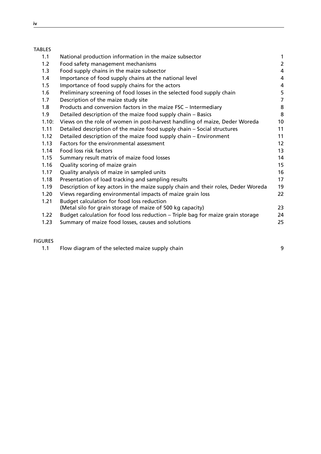## TABLES

| 1.1   | National production information in the maize subsector                            | 1              |
|-------|-----------------------------------------------------------------------------------|----------------|
| 1.2   | Food safety management mechanisms                                                 | $\overline{2}$ |
| 1.3   | Food supply chains in the maize subsector                                         | 4              |
| 1.4   | Importance of food supply chains at the national level                            | 4              |
| 1.5   | Importance of food supply chains for the actors                                   | 4              |
| 1.6   | Preliminary screening of food losses in the selected food supply chain            | 5              |
| 1.7   | Description of the maize study site                                               | $\overline{7}$ |
| 1.8   | Products and conversion factors in the maize FSC - Intermediary                   | 8              |
| 1.9   | Detailed description of the maize food supply chain - Basics                      | 8              |
| 1.10: | Views on the role of women in post-harvest handling of maize, Deder Woreda        | 10             |
| 1.11  | Detailed description of the maize food supply chain – Social structures           | 11             |
| 1.12  | Detailed description of the maize food supply chain - Environment                 | 11             |
| 1.13  | Factors for the environmental assessment                                          | 12             |
| 1.14  | Food loss risk factors                                                            | 13             |
| 1.15  | Summary result matrix of maize food losses                                        | 14             |
| 1.16  | Quality scoring of maize grain                                                    | 15             |
| 1.17  | Quality analysis of maize in sampled units                                        | 16             |
| 1.18  | Presentation of load tracking and sampling results                                | 17             |
| 1.19  | Description of key actors in the maize supply chain and their roles, Deder Woreda | 19             |
| 1.20  | Views regarding environmental impacts of maize grain loss                         | 22             |
| 1.21  | Budget calculation for food loss reduction                                        |                |
|       | (Metal silo for grain storage of maize of 500 kg capacity)                        | 23             |
| 1.22  | Budget calculation for food loss reduction - Triple bag for maize grain storage   | 24             |
| 1.23  | Summary of maize food losses, causes and solutions                                | 25             |
|       |                                                                                   |                |

## FIGURES

1.1 Flow diagram of the selected maize supply chain example 20 and 50 years of 9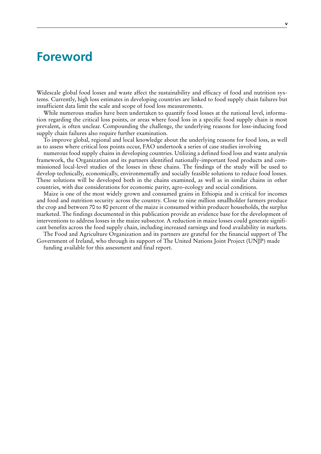## <span id="page-6-0"></span>**Foreword**

Widescale global food losses and waste affect the sustainability and efficacy of food and nutrition systems. Currently, high loss estimates in developing countries are linked to food supply chain failures but insufficient data limit the scale and scope of food loss measurements.

While numerous studies have been undertaken to quantify food losses at the national level, information regarding the critical loss points, or areas where food loss in a specific food supply chain is most prevalent, is often unclear. Compounding the challenge, the underlying reasons for loss-inducing food supply chain failures also require further examination.

To improve global, regional and local knowledge about the underlying reasons for food loss, as well as to assess where critical loss points occur, FAO undertook a series of case studies involving

numerous food supply chains in developing countries. Utilizing a defined food loss and waste analysis framework, the Organization and its partners identified nationally-important food products and commissioned local-level studies of the losses in these chains. The findings of the study will be used to develop technically, economically, environmentally and socially feasible solutions to reduce food losses. These solutions will be developed both in the chains examined, as well as in similar chains in other countries, with due considerations for economic parity, agro-ecology and social conditions.

Maize is one of the most widely grown and consumed grains in Ethiopia and is critical for incomes and food and nutrition security across the country. Close to nine million smallholder farmers produce the crop and between 70 to 80 percent of the maize is consumed within producer households, the surplus marketed. The findings documented in this publication provide an evidence base for the development of interventions to address losses in the maize subsector. A reduction in maize losses could generate significant benefits across the food supply chain, including increased earnings and food availability in markets.

The Food and Agriculture Organization and its partners are grateful for the financial support of The Government of Ireland, who through its support of The United Nations Joint Project (UNJP) made

funding available for this assessment and final report.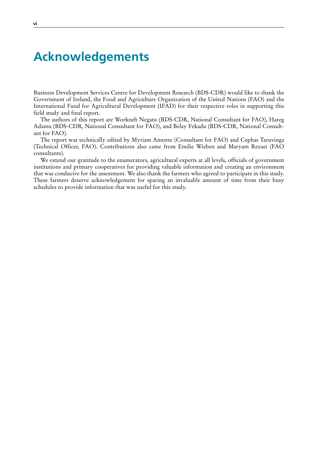## **Acknowledgements**

Business Development Services Centre for Development Research (BDS-CDR) would like to thank the Government of Ireland, the Food and Agriculture Organization of the United Nations (FAO) and the International Fund for Agricultural Development (IFAD) for their respective roles in supporting this field study and final report.

The authors of this report are Workneh Negatu (BDS-CDR, National Consultant for FAO), Hareg Adamu (BDS-CDR, National Consultant for FAO), and Belay Fekadu (BDS-CDR, National Consultant for FAO).

The report was technically edited by Myriam Annette (Consultant for FAO) and Cephas Taruvinga (Technical Officer, FAO). Contributions also came from Emilie Wieben and Maryam Rezaei (FAO consultants).

We extend our gratitude to the enumerators, agricultural experts at all levels, officials of government institutions and primary cooperatives for providing valuable information and creating an environment that was conducive for the assessment. We also thank the farmers who agreed to participate in this study. These farmers deserve acknowledgement for sparing an invaluable amount of time from their busy schedules to provide information that was useful for this study.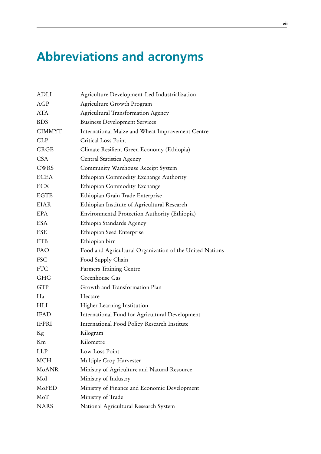# <span id="page-8-0"></span>**Abbreviations and acronyms**

| ADLI          | Agriculture Development-Led Industrialization            |
|---------------|----------------------------------------------------------|
| <b>AGP</b>    | Agriculture Growth Program                               |
| <b>ATA</b>    | <b>Agricultural Transformation Agency</b>                |
| <b>BDS</b>    | <b>Business Development Services</b>                     |
| <b>CIMMYT</b> | International Maize and Wheat Improvement Centre         |
| <b>CLP</b>    | Critical Loss Point                                      |
| <b>CRGE</b>   | Climate Resilient Green Economy (Ethiopia)               |
| <b>CSA</b>    | <b>Central Statistics Agency</b>                         |
| <b>CWRS</b>   | Community Warehouse Receipt System                       |
| <b>ECEA</b>   | Ethiopian Commodity Exchange Authority                   |
| ECX           | Ethiopian Commodity Exchange                             |
| <b>EGTE</b>   | Ethiopian Grain Trade Enterprise                         |
| <b>EIAR</b>   | Ethiopian Institute of Agricultural Research             |
| <b>EPA</b>    | Environmental Protection Authority (Ethiopia)            |
| <b>ESA</b>    | Ethiopia Standards Agency                                |
| <b>ESE</b>    | Ethiopian Seed Enterprise                                |
| <b>ETB</b>    | Ethiopian birr                                           |
| <b>FAO</b>    | Food and Agricultural Organization of the United Nations |
| <b>FSC</b>    | Food Supply Chain                                        |
| <b>FTC</b>    | <b>Farmers Training Centre</b>                           |
| GHG           | Greenhouse Gas                                           |
| <b>GTP</b>    | Growth and Transformation Plan                           |
| Ha            | Hectare                                                  |
| HLI           | Higher Learning Institution                              |
| <b>IFAD</b>   | International Fund for Agricultural Development          |
| <b>IFPRI</b>  | International Food Policy Research Institute             |
| Kg            | Kilogram                                                 |
| Km            | Kilometre                                                |
| LLP           | Low Loss Point                                           |
| <b>MCH</b>    | Multiple Crop Harvester                                  |
| MoANR         | Ministry of Agriculture and Natural Resource             |
| MoI           | Ministry of Industry                                     |
| MoFED         | Ministry of Finance and Economic Development             |
| MoT           | Ministry of Trade                                        |
| <b>NARS</b>   | National Agricultural Research System                    |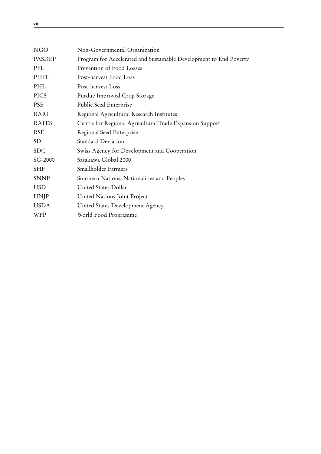<span id="page-9-0"></span>

| <b>NGO</b>    | Non-Governmental Organization                                      |
|---------------|--------------------------------------------------------------------|
| <b>PASDEP</b> | Program for Accelerated and Sustainable Development to End Poverty |
| PFL           | Prevention of Food Losses                                          |
| PHFL          | Post-harvest Food Loss                                             |
| PHL           | Post-harvest Loss                                                  |
| <b>PICS</b>   | Purdue Improved Crop Storage                                       |
| <b>PSE</b>    | Public Seed Enterprise                                             |
| RARI          | Regional Agricultural Research Institutes                          |
| <b>RATES</b>  | Centre for Regional Agricultural Trade Expansion Support           |
| <b>RSE</b>    | Regional Seed Enterprise                                           |
| SD            | <b>Standard Deviation</b>                                          |
| <b>SDC</b>    | Swiss Agency for Development and Cooperation                       |
| SG-2000       | Sasakawa Global 2000                                               |
| <b>SHF</b>    | Smallholder Farmers                                                |
| <b>SNNP</b>   | Southern Nations, Nationalities and Peoples                        |
| <b>USD</b>    | United States Dollar                                               |
| <b>UNJP</b>   | United Nations Joint Project                                       |
| <b>USDA</b>   | United States Development Agency                                   |
| WFP           | World Food Programme                                               |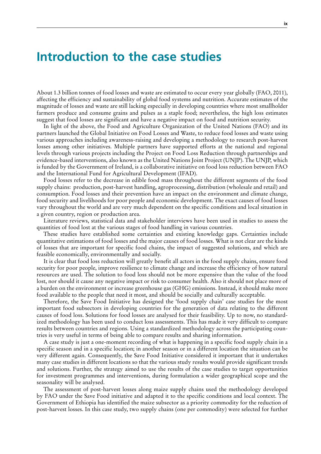## <span id="page-10-0"></span>**Introduction to the case studies**

About 1.3 billion tonnes of food losses and waste are estimated to occur every year globally (FAO, 2011), affecting the efficiency and sustainability of global food systems and nutrition. Accurate estimates of the magnitude of losses and waste are still lacking especially in developing countries where most smallholder farmers produce and consume grains and pulses as a staple food; nevertheless, the high loss estimates suggest that food losses are significant and have a negative impact on food and nutrition security.

In light of the above, the Food and Agriculture Organization of the United Nations (FAO) and its partners launched the Global Initiative on Food Losses and Waste, to reduce food losses and waste using various approaches including awareness-raising and developing a methodology to research post-harvest losses among other initiatives. Multiple partners have supported efforts at the national and regional levels through various projects including the Project on Food Loss Reduction through partnerships and evidence-based interventions, also known as the United Nations Joint Project (UNJP). The UNJP, which is funded by the Government of Ireland, is a collaborative initiative on food loss reduction between FAO and the International Fund for Agricultural Development (IFAD).

Food losses refer to the decrease in edible food mass throughout the different segments of the food supply chains: production, post-harvest handling, agroprocessing, distribution (wholesale and retail) and consumption. Food losses and their prevention have an impact on the environment and climate change, food security and livelihoods for poor people and economic development. The exact causes of food losses vary throughout the world and are very much dependent on the specific conditions and local situation in a given country, region or production area.

Literature reviews, statistical data and stakeholder interviews have been used in studies to assess the quantities of food lost at the various stages of food handling in various countries.

These studies have established some certainties and existing knowledge gaps. Certainties include quantitative estimations of food losses and the major causes of food losses. What is not clear are the kinds of losses that are important for specific food chains, the impact of suggested solutions, and which are feasible economically, environmentally and socially.

It is clear that food loss reduction will greatly benefit all actors in the food supply chains, ensure food security for poor people, improve resilience to climate change and increase the efficiency of how natural resources are used. The solution to food loss should not be more expensive than the value of the food lost, nor should it cause any negative impact or risk to consumer health. Also it should not place more of a burden on the environment or increase greenhouse gas (GHG) emissions. Instead, it should make more food available to the people that need it most, and should be socially and culturally acceptable.

Therefore, the Save Food Initiative has designed the 'food supply chain' case studies for the most important food subsectors in developing countries for the generation of data relating to the different causes of food loss. Solutions for food losses are analysed for their feasibility. Up to now, no standardized methodology has been used to conduct loss assessments. This has made it very difficult to compare results between countries and regions. Using a standardized methodology across the participating countries is very useful in terms of being able to compare results and sharing information.

A case study is just a one-moment recording of what is happening in a specific food supply chain in a specific season and in a specific location; in another season or in a different location the situation can be very different again. Consequently, the Save Food Initiative considered it important that it undertakes many case studies in different locations so that the various study results would provide significant trends and solutions. Further, the strategy aimed to use the results of the case studies to target opportunities for investment programmes and interventions, during formulation a wider geographical scope and the seasonality will be analysed.

The assessment of post-harvest losses along maize supply chains used the methodology developed by FAO under the Save Food initiative and adapted it to the specific conditions and local context. The Government of Ethiopia has identified the maize subsector as a priority commodity for the reduction of post-harvest losses. In this case study, two supply chains (one per commodity) were selected for further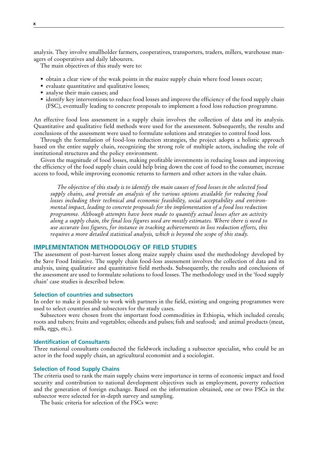analysis. They involve smallholder farmers, cooperatives, transporters, traders, millers, warehouse managers of cooperatives and daily labourers.

The main objectives of this study were to:

- obtain a clear view of the weak points in the maize supply chain where food losses occur;
- evaluate quantitative and qualitative losses;
- analyse their main causes; and
- identify key interventions to reduce food losses and improve the efficiency of the food supply chain (FSC), eventually leading to concrete proposals to implement a food loss reduction programme.

An effective food loss assessment in a supply chain involves the collection of data and its analysis. Quantitative and qualitative field methods were used for the assessment. Subsequently, the results and conclusions of the assessment were used to formulate solutions and strategies to control food loss.

Through the formulation of food-loss reduction strategies, the project adopts a holistic approach based on the entire supply chain, recognizing the strong role of multiple actors, including the role of institutional structures and the policy environment.

Given the magnitude of food losses, making profitable investments in reducing losses and improving the efficiency of the food supply chain could help bring down the cost of food to the consumer, increase access to food, while improving economic returns to farmers and other actors in the value chain.

*The objective of this study is to identify the main causes of food losses in the selected food supply chains, and provide an analysis of the various options available for reducing food losses including their technical and economic feasibility, social acceptability and environmental impact, leading to concrete proposals for the implementation of a food loss reduction programme. Although attempts have been made to quantify actual losses after an activity along a supply chain, the final loss figures used are mostly estimates. Where there is need to use accurate loss figures, for instance in tracking achievements in loss reduction efforts, this requires a more detailed statistical analysis, which is beyond the scope of this study.* 

## **IMPLEMENTATION METHODOLOGY OF FIELD STUDIES**

The assessment of post-harvest losses along maize supply chains used the methodology developed by the Save Food Initiative. The supply chain food-loss assessment involves the collection of data and its analysis, using qualitative and quantitative field methods. Subsequently, the results and conclusions of the assessment are used to formulate solutions to food losses. The methodology used in the 'food supply chain' case studies is described below.

## **Selection of countries and subsectors**

In order to make it possible to work with partners in the field, existing and ongoing programmes were used to select countries and subsectors for the study cases.

Subsectors were chosen from the important food commodities in Ethiopia, which included cereals; roots and tubers; fruits and vegetables; oilseeds and pulses; fish and seafood; and animal products (meat, milk, eggs, etc.).

#### **Identification of Consultants**

Three national consultants conducted the fieldwork including a subsector specialist, who could be an actor in the food supply chain, an agricultural economist and a sociologist.

### **Selection of Food Supply Chains**

The criteria used to rank the main supply chains were importance in terms of economic impact and food security and contribution to national development objectives such as employment, poverty reduction and the generation of foreign exchange. Based on the information obtained, one or two FSCs in the subsector were selected for in-depth survey and sampling.

The basic criteria for selection of the FSCs were: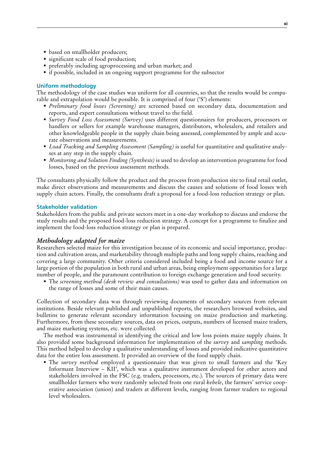- based on smallholder producers;
- significant scale of food production;
- preferably including agroprocessing and urban market; and
- if possible, included in an ongoing support programme for the subsector

## **Uniform methodology**

The methodology of the case studies was uniform for all countries, so that the results would be comparable and extrapolation would be possible. It is comprised of four ('S') elements:

- *Preliminary food losses (Screening)* are screened based on secondary data, documentation and reports, and expert consultations without travel to the field.
- *Survey Food Loss Assessment (Survey)* uses different questionnaires for producers, processors or handlers or sellers for example warehouse managers, distributors, wholesalers, and retailers and other knowledgeable people in the supply chain being assessed, complemented by ample and accurate observations and measurements.
- *Load Tracking and Sampling Assessment (Sampling)* is useful for quantitative and qualitative analyses at any step in the supply chain.
- *Monitoring and Solution Finding (Synthesis)* is used to develop an intervention programme for food losses, based on the previous assessment methods.

The consultants physically follow the product and the process from production site to final retail outlet, make direct observations and measurements and discuss the causes and solutions of food losses with supply chain actors. Finally, the consultants draft a proposal for a food-loss reduction strategy or plan.

### **Stakeholder validation**

Stakeholders from the public and private sectors meet in a one-day workshop to discuss and endorse the study results and the proposed food-loss reduction strategy. A concept for a programme to finalize and implement the food-loss reduction strategy or plan is prepared.

## *Methodology adapted for maize*

Researchers selected maize for this investigation because of its economic and social importance, production and cultivation areas, and marketability through multiple paths and long supply chains, reaching and covering a large community. Other criteria considered included being a food and income source for a large portion of the population in both rural and urban areas, being employment opportunities for a large number of people, and the paramount contribution to foreign exchange generation and food security.

 The *screening method (desk review and consultations)* was used to gather data and information on the range of losses and some of their main causes.

Collection of secondary data was through reviewing documents of secondary sources from relevant institutions. Beside relevant published and unpublished reports, the researchers browsed websites, and bulletins to generate relevant secondary information focusing on maize production and marketing. Furthermore, from these secondary sources, data on prices, outputs, numbers of licensed maize traders, and maize marketing systems, etc. were collected.

The method was instrumental in identifying the critical and low loss points maize supply chains. It also provided some background information for implementation of the *survey* and *sampling* methods. This method helped to develop a qualitative understanding of losses and provided indicative quantitative data for the entire loss assessment. It provided an overview of the food supply chain.

 The *survey method* employed a questionnaire that was given to small farmers and the 'Key Informant Interview – KII', which was a qualitative instrument developed for other actors and stakeholders involved in the FSC (e.g. traders, processors, etc.). The sources of primary data were smallholder farmers who were randomly selected from one rural *kebele*, the farmers' service cooperative association (union) and traders at different levels, ranging from farmer traders to regional level wholesalers.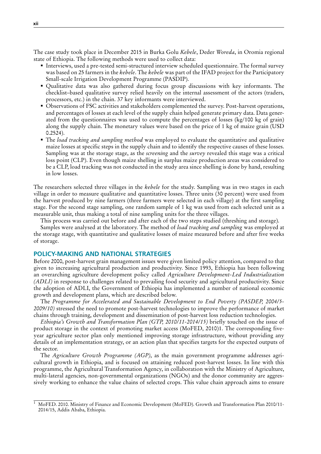The case study took place in December 2015 in Burka Golu *Kebele*, Deder *Woreda*, in Oromia regional state of Ethiopia. The following methods were used to collect data:

- Interviews, used a pre-tested semi-structured interview scheduled questionnaire. The formal survey was based on 25 farmers in the *kebele*. The *kebele* was part of the IFAD project for the Participatory Small-scale Irrigation Development Programme (PASDIP).
- Qualitative data was also gathered during focus group discussions with key informants. The checklist–based qualitative survey relied heavily on the internal assessment of the actors (traders, processors, etc.) in the chain. 37 key informants were interviewed.
- Observations of FSC activities and stakeholders complemented the survey. Post-harvest operations, and percentages of losses at each level of the supply chain helped generate primary data. Data generated from the questionnaires was used to compute the percentages of losses (kg/100 kg of grain) along the supply chain. The monetary values were based on the price of 1 kg of maize grain (USD 0.2524).
- The *load tracking and sampling method* was employed to evaluate the quantitative and qualitative maize losses at specific steps in the supply chain and to identify the respective causes of these losses. Sampling was at the storage stage, as the *screening* and the *survey* revealed this stage was a critical loss point (CLP). Even though maize shelling in surplus maize production areas was considered to be a CLP, load tracking was not conducted in the study area since shelling is done by hand, resulting in low losses.

The researchers selected three villages in the *kebele* for the study. Sampling was in two stages in each village in order to measure qualitative and quantitative losses. Three units (30 percent) were used from the harvest produced by nine farmers (three farmers were selected in each village) at the first sampling stage. For the second stage sampling, one random sample of 1 kg was used from each selected unit as a measurable unit, thus making a total of nine sampling units for the three villages.

This process was carried out before and after each of the two steps studied (threshing and storage).

Samples were analysed at the laboratory. The method of *load tracking and sampling* was employed at the storage stage, with quantitative and qualitative losses of maize measured before and after five weeks of storage.

### **POLICY-MAKING AND NATIONAL STRATEGIES**

Before 2000, post-harvest grain management issues were given limited policy attention, compared to that given to increasing agricultural production and productivity. Since 1993, Ethiopia has been following an overarching agriculture development policy called *Agriculture Development-Led Industrialization (ADLI)* in response to challenges related to prevailing food security and agricultural productivity. Since the adoption of ADLI, the Government of Ethiopia has implemented a number of national economic growth and development plans, which are described below.

The *Programme for Accelerated and Sustainable Development to End Poverty (PASDEP, 2004/5- 2009/10)* stressed the need to promote post-harvest technologies to improve the performance of market chains through training, development and dissemination of post-harvest loss reduction technologies.

*Ethiopia's Growth and Transformation Plan (GTP, 2010/11-2014/15)* briefly touched on the issue of product storage in the context of promoting market access (MoFED, 2010)1. The corresponding fiveyear agriculture sector plan only mentioned improving storage infrastructure, without providing any details of an implementation strategy, or an action plan that specifies targets for the expected outputs of the sector.

The *Agriculture Growth Programme (AGP)*, as the main government programme addresses agricultural growth in Ethiopia, and is focused on attaining reduced post-harvest losses. In line with this programme, the Agricultural Transformation Agency, in collaboration with the Ministry of Agriculture, multi-lateral agencies, non-governmental organizations (NGOs) and the donor community are aggressively working to enhance the value chains of selected crops. This value chain approach aims to ensure

<sup>&</sup>lt;sup>1</sup> MoFED. 2010. Ministry of Finance and Economic Development (MoFED). Growth and Transformation Plan 2010/11-2014/15, Addis Ababa, Ethiopia.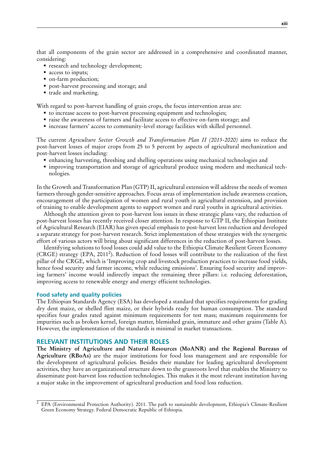that all components of the grain sector are addressed in a comprehensive and coordinated manner, considering:

- research and technology development;
- access to inputs;
- on-farm production;
- post-harvest processing and storage; and
- trade and marketing.

With regard to post-harvest handling of grain crops, the focus intervention areas are:

- to increase access to post-harvest processing equipment and technologies;
- raise the awareness of farmers and facilitate access to effective on-farm storage; and
- increase farmers' access to community-level storage facilities with skilled personnel.

The current *Agriculture Sector Growth and Transformation Plan II (2015-2020)* aims to reduce the post-harvest losses of major crops from 25 to 5 percent by aspects of agricultural mechanization and post-harvest losses including:

- enhancing harvesting, threshing and shelling operations using mechanical technologies and
- improving transportation and storage of agricultural produce using modern and mechanical technologies.

In the Growth and Transformation Plan (GTP) II, agricultural extension will address the needs of women farmers through gender-sensitive approaches. Focus areas of implementation include awareness creation, encouragement of the participation of women and rural youth in agricultural extension, and provision of training to enable development agents to support women and rural youths in agricultural activities.

Although the attention given to post-harvest loss issues in these strategic plans vary, the reduction of post-harvest losses has recently received closer attention. In response to GTP II, the Ethiopian Institute of Agricultural Research (EIAR) has given special emphasis to post-harvest loss reduction and developed a separate strategy for post-harvest research. Strict implementation of these strategies with the synergetic effort of various actors will bring about significant differences in the reduction of post-harvest losses.

Identifying solutions to food losses could add value to the Ethiopia Climate Resilient Green Economy (CRGE) strategy (EPA, 2011<sup>2</sup>). Reduction of food losses will contribute to the realization of the first pillar of the CRGE, which is 'Improving crop and livestock production practices to increase food yields, hence food security and farmer income, while reducing emissions'. Ensuring food security and improving farmers' income would indirectly impact the remaining three pillars: i.e*.* reducing deforestation, improving access to renewable energy and energy efficient technologies.

#### **Food safety and quality policies**

The Ethiopian Standards Agency (ESA) has developed a standard that specifies requirements for grading dry dent maize, or shelled flint maize, or their hybrids ready for human consumption. The standard specifies four grades rated against minimum requirements for test mass; maximum requirements for impurities such as broken kernel, foreign matter, blemished grain, immature and other grains (Table A). However, the implementation of the standards is minimal in market transactions.

### **RELEVANT INSTITUTIONS AND THEIR ROLES**

**The Ministry of Agriculture and Natural Resources (MoANR) and the Regional Bureaus of Agriculture (RBoAs)** are the major institutions for food loss management and are responsible for the development of agricultural policies. Besides their mandate for leading agricultural development activities, they have an organizational structure down to the grassroots level that enables the Ministry to disseminate post-harvest loss reduction technologies. This makes it the most relevant institution having a major stake in the improvement of agricultural production and food loss reduction.

<sup>&</sup>lt;sup>2</sup> EPA (Environmental Protection Authority). 2011. The path to sustainable development, Ethiopia's Climate-Resilient Green Economy Strategy. Federal Democratic Republic of Ethiopia.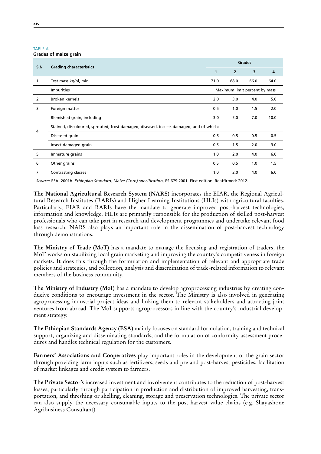| <b>TABLE A</b>               |  |
|------------------------------|--|
| <b>Grades of maize grain</b> |  |

|     |                                                                                         |              | <b>Grades</b>                 |      |      |  |  |  |
|-----|-----------------------------------------------------------------------------------------|--------------|-------------------------------|------|------|--|--|--|
| S.N | <b>Grading characteristics</b>                                                          | $\mathbf{1}$ | $\overline{2}$                | 3    | 4    |  |  |  |
|     | Test mass kg/hl, min                                                                    | 71.0         | 68.0                          | 66.0 | 64.0 |  |  |  |
|     | <b>Impurities</b>                                                                       |              | Maximum limit percent by mass |      |      |  |  |  |
| 2   | Broken kernels                                                                          | 2.0          | 3.0                           | 4.0  | 5.0  |  |  |  |
| 3   | Foreign matter                                                                          | 0.5          | 1.0                           | 1.5  | 2.0  |  |  |  |
|     | Blemished grain, including                                                              | 3.0          | 5.0                           | 7.0  | 10.0 |  |  |  |
|     | Stained, discoloured, sprouted, frost damaged, diseased, insects damaged, and of which: |              |                               |      |      |  |  |  |
| 4   | Diseased grain                                                                          | 0.5          | 0.5                           | 0.5  | 0.5  |  |  |  |
|     | Insect damaged grain                                                                    | 0.5          | 1.5                           | 2.0  | 3.0  |  |  |  |
| 5   | Immature grains                                                                         | 1.0          | 2.0                           | 4.0  | 6.0  |  |  |  |
| 6   | Other grains                                                                            | 0.5          | 0.5                           | 1.0  | 1.5  |  |  |  |
| 7   | Contrasting classes                                                                     | 1.0          | 2.0                           | 4.0  | 6.0  |  |  |  |

*Source:* ESA. 2001b. *Ethiopian Standard, Maize (Corn)-specification*, ES 679:2001. First edition. Reaffirmed: 2012.

**The National Agricultural Research System (NARS)** incorporates the EIAR, the Regional Agricultural Research Institutes (RARIs) and Higher Learning Institutions (HLIs) with agricultural faculties. Particularly, EIAR and RARIs have the mandate to generate improved post-harvest technologies, information and knowledge. HLIs are primarily responsible for the production of skilled post-harvest professionals who can take part in research and development programmes and undertake relevant food loss research. NARS also plays an important role in the dissemination of post-harvest technology through demonstrations.

**The Ministry of Trade (MoT)** has a mandate to manage the licensing and registration of traders, the MoT works on stabilizing local grain marketing and improving the country's competitiveness in foreign markets. It does this through the formulation and implementation of relevant and appropriate trade policies and strategies, and collection, analysis and dissemination of trade-related information to relevant members of the business community.

**The Ministry of Industry (MoI)** has a mandate to develop agroprocessing industries by creating conducive conditions to encourage investment in the sector. The Ministry is also involved in generating agroprocessing industrial project ideas and linking them to relevant stakeholders and attracting joint ventures from abroad. The MoI supports agroprocessors in line with the country's industrial development strategy.

**The Ethiopian Standards Agency (ESA)** mainly focuses on standard formulation, training and technical support, organizing and disseminating standards, and the formulation of conformity assessment procedures and handles technical regulation for the customers.

**Farmers' Associations and Cooperatives** play important roles in the development of the grain sector through providing farm inputs such as fertilizers, seeds and pre and post-harvest pesticides, facilitation of market linkages and credit system to farmers.

**The Private Sector's** increased investment and involvement contributes to the reduction of post-harvest losses, particularly through participation in production and distribution of improved harvesting, transportation, and threshing or shelling, cleaning, storage and preservation technologies. The private sector can also supply the necessary consumable inputs to the post-harvest value chains (e.g. Shayashone Agribusiness Consultant).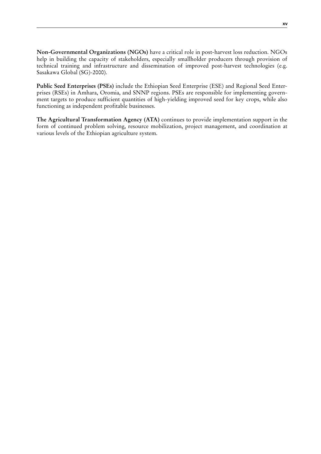**Non-Governmental Organizations (NGOs)** have a critical role in post-harvest loss reduction. NGOs help in building the capacity of stakeholders, especially smallholder producers through provision of technical training and infrastructure and dissemination of improved post-harvest technologies (e.g. Sasakawa Global (SG)-2000).

**Public Seed Enterprises (PSEs)** include the Ethiopian Seed Enterprise (ESE) and Regional Seed Enterprises (RSEs) in Amhara, Oromia, and SNNP regions. PSEs are responsible for implementing government targets to produce sufficient quantities of high-yielding improved seed for key crops, while also functioning as independent profitable businesses.

**The Agricultural Transformation Agency (ATA)** continues to provide implementation support in the form of continued problem solving, resource mobilization, project management, and coordination at various levels of the Ethiopian agriculture system.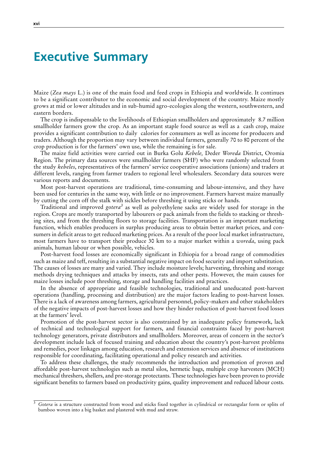## **Executive Summary**

Maize (*Zea mays* L.) is one of the main food and feed crops in Ethiopia and worldwide. It continues to be a significant contributor to the economic and social development of the country. Maize mostly grows at mid or lower altitudes and in sub-humid agro-ecologies along the western, southwestern, and eastern borders.

The crop is indispensable to the livelihoods of Ethiopian smallholders and approximately 8.7 million smallholder farmers grow the crop. As an important staple food source as well as a cash crop, maize provides a significant contribution to daily calories for consumers as well as income for producers and traders. Although the proportion may vary between individual farmers, generally 70 to 80 percent of the crop production is for the farmers' own use, while the remaining is for sale.

The maize field activities were carried out in Burka Golu *Kebele,* Deder *Woreda* District, Oromia Region. The primary data sources were smallholder farmers (SHF) who were randomly selected from the study *kebeles*, representatives of the farmers' service cooperative associations (unions) and traders at different levels, ranging from farmer traders to regional level wholesalers. Secondary data sources were various reports and documents.

Most post-harvest operations are traditional, time-consuming and labour-intensive, and they have been used for centuries in the same way, with little or no improvement. Farmers harvest maize manually by cutting the corn off the stalk with sickles before threshing it using sticks or hands.

Traditional and improved gotera<sup>3</sup> as well as polyethylene sacks are widely used for storage in the region. Crops are mostly transported by labourers or pack animals from the fields to stacking or threshing sites, and from the threshing floors to storage facilities. Transportation is an important marketing function, which enables producers in surplus producing areas to obtain better market prices, and consumers in deficit areas to get reduced marketing prices. As a result of the poor local market infrastructure, most farmers have to transport their produce 30 km to a major market within a *woreda*, using pack animals, human labour or when possible, vehicles.

Post-harvest food losses are economically significant in Ethiopia for a broad range of commodities such as maize and teff, resulting in a substantial negative impact on food security and import substitution. The causes of losses are many and varied. They include moisture levels; harvesting, threshing and storage methods drying techniques and attacks by insects, rats and other pests. However, the main causes for maize losses include poor threshing, storage and handling facilities and practices.

In the absence of appropriate and feasible technologies, traditional and uneducated post-harvest operations (handling, processing and distribution) are the major factors leading to post-harvest losses. There is a lack of awareness among farmers, agricultural personnel, policy-makers and other stakeholders of the negative impacts of post-harvest losses and how they hinder reduction of post-harvest food losses at the farmers' level.

Promotion of the post-harvest sector is also constrained by an inadequate policy framework, lack of technical and technological support for farmers, and financial constraints faced by post-harvest technology generators, private distributors and smallholders. Moreover, areas of concern in the sector's development include lack of focused training and education about the country's post-harvest problems and remedies, poor linkages among education, research and extension services and absence of institutions responsible for coordinating, facilitating operational and policy research and activities.

To address these challenges, the study recommends the introduction and promotion of proven and affordable post-harvest technologies such as metal silos, hermetic bags, multiple crop harvesters (MCH) mechanical threshers, shellers, and pre-storage protectants. These technologies have been proven to provide significant benefits to farmers based on productivity gains, quality improvement and reduced labour costs.

<sup>&</sup>lt;sup>3</sup> *Gotera* is a structure constructed from wood and sticks fixed together in cylindrical or rectangular form or splits of bamboo woven into a big basket and plastered with mud and straw.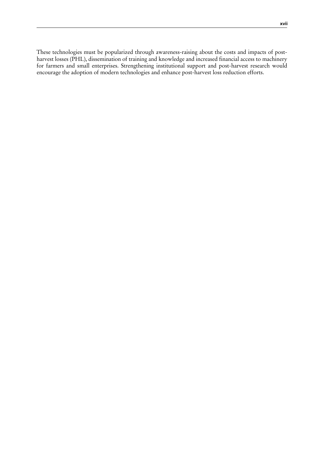These technologies must be popularized through awareness-raising about the costs and impacts of postharvest losses (PHL), dissemination of training and knowledge and increased financial access to machinery for farmers and small enterprises. Strengthening institutional support and post-harvest research would encourage the adoption of modern technologies and enhance post-harvest loss reduction efforts.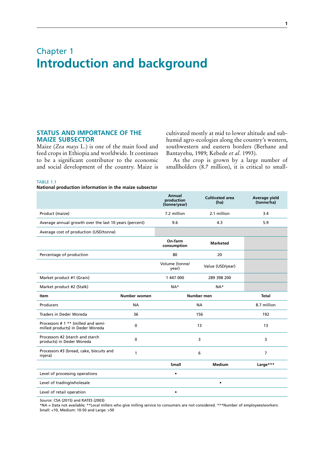## <span id="page-20-0"></span>Chapter 1 **Introduction and background**

## **STATUS AND IMPORTANCE OF THE MAIZE SUBSECTOR**

Maize (*Zea mays* L.) is one of the main food and feed crops in Ethiopia and worldwide. It continues to be a significant contributor to the economic and social development of the country. Maize is cultivated mostly at mid to lower altitude and subhumid agro-ecologies along the country's western, southwestern and eastern borders (Berhane and Bantayehu, 1989; Kebede *et al*. 1993).

As the crop is grown by a large number of smallholders (8.7 million), it is critical to small-

#### TABLE 1.1

**National production information in the maize subsector**

|                                                                         |              | <b>Annual</b><br>production<br>(tonne/year) | <b>Cultivated area</b><br>(ha) | Average vield<br>(tonne/ha) |
|-------------------------------------------------------------------------|--------------|---------------------------------------------|--------------------------------|-----------------------------|
| Product (maize)                                                         |              | 7.2 million                                 | 2.1 million                    | 3.4                         |
| Average annual growth over the last 10 years (percent)                  |              | 9.6                                         | 4.3                            | 5.9                         |
| Average cost of production (USD/tonne)                                  |              |                                             |                                |                             |
|                                                                         |              | On-farm<br>consumption                      | <b>Marketed</b>                |                             |
| Percentage of production                                                |              | 80                                          | 20                             |                             |
|                                                                         |              | Volume (tonne/<br>year)                     | Value (USD/year)               |                             |
| Market product #1 (Grain)                                               |              | 1 447 000                                   | 289 398 200                    |                             |
| Market product #2 (Stalk)                                               |              | $NA*$                                       | $NA*$                          |                             |
| Item                                                                    | Number women |                                             | Number men                     | <b>Total</b>                |
| Producers                                                               | <b>NA</b>    |                                             | <b>NA</b>                      | 8.7 million                 |
| Traders in Deder Woreda                                                 | 36           |                                             | 156                            | 192                         |
| Processors # 1 ** (milled and semi-<br>milled products) in Deder Woreda | $\mathbf{0}$ |                                             | 13                             | 13                          |
| Processors #2 (starch and starch<br>products) in Deder Woreda           | 0            |                                             | 3                              | 3                           |
| Processors #3 (bread, cake, biscuits and<br>injera)                     | 1            |                                             | 6                              | $\overline{7}$              |
|                                                                         |              | <b>Small</b>                                | <b>Medium</b>                  | Large***                    |
| Level of processing operations                                          |              | $\bullet$                                   |                                |                             |
| Level of trading/wholesale                                              |              |                                             | $\bullet$                      |                             |
| Level of retail operation                                               |              | ٠                                           |                                |                             |

*Source*: CSA (2015) and RATES (2003)

\*NA = Data not available; \*\*Local millers who give milling service to consumers are not considered. \*\*\*Number of employees/workers: Small: <10, Medium: 10-50 and Large: >50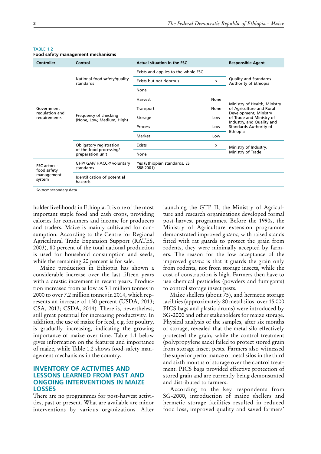| Controller                     | Control                                                                | <b>Actual situation in the FSC</b>        |      | <b>Responsible Agent</b>                                 |
|--------------------------------|------------------------------------------------------------------------|-------------------------------------------|------|----------------------------------------------------------|
|                                | National food safety/quality<br>standards                              | Exists and applies to the whole FSC       |      |                                                          |
|                                |                                                                        | Exists but not rigorous                   | x    | Quality and Standards<br>Authority of Ethiopia           |
|                                |                                                                        | None                                      |      |                                                          |
|                                | Frequency of checking<br>(None, Low, Medium, High)                     | Harvest                                   | None |                                                          |
| Government                     |                                                                        | Transport                                 | None | Ministry of Health, Ministry<br>of Agriculture and Rural |
| regulation and<br>requirements |                                                                        | Storage                                   | Low  | Development, Ministry<br>of Trade and Ministry of        |
|                                |                                                                        | Process                                   | Low  | Industry, and Quality and<br>Standards Authority of      |
|                                |                                                                        | Market                                    | Low  | Ethiopia                                                 |
|                                | Obligatory registration<br>of the food processing/<br>preparation unit | Exists                                    | х    | Ministry of Industry,                                    |
|                                |                                                                        | None                                      |      | Ministry of Trade                                        |
| FSC actors -<br>food safety    | GHP/ GAP/ HACCP/ voluntary<br>standards                                | Yes (Ethiopian standards, ES<br>588:2001) |      |                                                          |
| management<br>system           | Identification of potential<br>hazards                                 |                                           |      |                                                          |

#### <span id="page-21-0"></span>TARIF<sub>12</sub> **Food safety management mechanisms**

*Source*: secondary data

holder livelihoods in Ethiopia. It is one of the most important staple food and cash crops, providing calories for consumers and income for producers and traders. Maize is mainly cultivated for consumption. According to the Centre for Regional Agricultural Trade Expansion Support (RATES, 2003), 80 percent of the total national production is used for household consumption and seeds, while the remaining 20 percent is for sale.

Maize production in Ethiopia has shown a considerable increase over the last fifteen years with a drastic increment in recent years. Production increased from as low as 3.1 million tonnes in 2000 to over 7.2 million tonnes in 2014, which represents an increase of 130 percent (USDA, 2013; CSA, 2013; CSDA, 2014). There is, nevertheless, still great potential for increasing productivity. In addition, the use of maize for feed, e.g. for poultry, is gradually increasing, indicating the growing importance of maize over time. Table 1.1 below gives information on the features and importance of maize, while Table 1.2 shows food-safety management mechanisms in the country.

## **INVENTORY OF ACTIVITIES AND LESSONS LEARNED FROM PAST AND ONGOING INTERVENTIONS IN MAIZE LOSSES**

There are no programmes for post-harvest activities, past or present. What are available are minor interventions by various organizations. After

launching the GTP II, the Ministry of Agriculture and research organizations developed formal post-harvest programmes. Before the 1990s, the Ministry of Agriculture extension programme demonstrated improved *gotera,* with raised stands fitted with rat guards to protect the grain from rodents, they were minimally accepted by farmers. The reason for the low acceptance of the improved *gotera* is that it guards the grain only from rodents, not from storage insects, while the cost of construction is high. Farmers then have to use chemical pesticides (powders and fumigants) to control storage insect pests.

Maize shellers (about 75), and hermetic storage facilities (approximately 80 metal silos, over 15 000 PICS bags and plastic drums) were introduced by SG-2000 and other stakeholders for maize storage. Physical analysis of the samples, after six months of storage, revealed that the metal silo effectively protected the grain, while the control treatment (polypropylene sack) failed to protect stored grain from storage insect pests. Farmers also witnessed the superior performance of metal silos in the third and sixth months of storage over the control treatment. PICS bags provided effective protection of stored grain and are currently being demonstrated and distributed to farmers.

According to the key respondents from SG-2000, introduction of maize shellers and hermetic storage facilities resulted in reduced food loss, improved quality and saved farmers'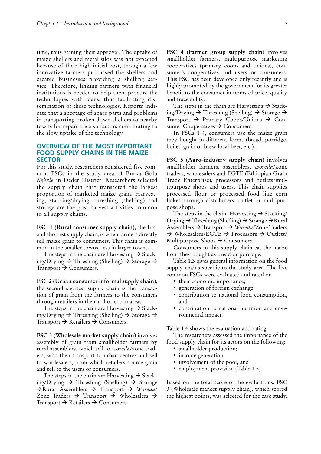<span id="page-22-0"></span>time, thus gaining their approval. The uptake of maize shellers and metal silos was not expected because of their high initial cost, though a few innovative farmers purchased the shellers and created businesses providing a shelling service. Therefore, linking farmers with financial institutions is needed to help them procure the technologies with loans, thus facilitating dissemination of these technologies. Reports indicate that a shortage of spare parts and problems in transporting broken down shellers to nearby towns for repair are also factors contributing to the slow uptake of the technology.

## **OVERVIEW OF THE MOST IMPORTANT FOOD SUPPLY CHAINS IN THE MAIZE SECTOR**

For this study, researchers considered five common FSCs in the study area of Burka Golu *Kebele* in Deder District. Researchers selected the supply chain that transacted the largest proportion of marketed maize grain. Harvesting, stacking/drying, threshing (shelling) and storage are the post-harvest activities common to all supply chains.

**FSC 1 (Rural consumer supply chain),** the first and shortest supply chain, is when farmers directly sell maize grain to consumers. This chain is common in the smaller towns, less in larger towns.

The steps in the chain are Harvesting  $\rightarrow$  Stacking/Drying  $\rightarrow$  Threshing (Shelling)  $\rightarrow$  Storage  $\rightarrow$ Transport  $\rightarrow$  Consumers.

**FSC 2 (Urban consumer informal supply chain**), the second shortest supply chain is the transaction of grain from the farmers to the consumers through retailers in the rural or urban areas.

The steps in the chain are Harvesting  $\rightarrow$  Stacking/Drying  $\rightarrow$  Threshing (Shelling)  $\rightarrow$  Storage  $\rightarrow$ Transport  $\rightarrow$  Retailers  $\rightarrow$  Consumers.

**FSC 3 (Wholesale market supply chain)** involves assembly of grain from smallholder farmers by rural assemblers, which sell to *woreda*/zone traders, who then transport to urban centres and sell to wholesalers, from which retailers source grain and sell to the users or consumers.

The steps in the chain are Harvesting  $\rightarrow$  Stacking/Drying  $\rightarrow$  Threshing (Shelling)  $\rightarrow$  Storage Rural Assemblers Transport *Woreda*/ Zone Traders  $\rightarrow$  Transport  $\rightarrow$  Wholesalers  $\rightarrow$ Transport  $\rightarrow$  Retailers  $\rightarrow$  Consumers.

**FSC 4 (Farmer group supply chain)** involves smallholder farmers, multipurpose marketing cooperatives (primary coops and unions), consumer's cooperatives and users or consumers. This FSC has been developed only recently and is highly promoted by the government for its greater benefit to the consumer in terms of price, quality and traceability.

The steps in the chain are Harvesting  $\rightarrow$  Stacking/Drying  $\rightarrow$  Threshing (Shelling)  $\rightarrow$  Storage  $\rightarrow$ Transport  $\rightarrow$  Primary Coops/Unions  $\rightarrow$  Consumer Cooperatives  $\rightarrow$  Consumers.

In FSCs 1-4, consumers use the maize grain they bought in different forms (bread, porridge, boiled grain or brew local beer, etc.).

**FSC 5 (Agro-industry supply chain)** involves smallholder farmers, assemblers, *woreda*/zone traders, wholesalers and EGTE (Ethiopian Grain Trade Enterprise), processors and outlets/multipurpose shops and users. This chain supplies processed flour or processed food like corn flakes through distributers, outlet or multipurpose shops.

The steps in the chain: Harvesting  $\rightarrow$  Stacking/ Drying  $\rightarrow$  Threshing (Shelling)  $\rightarrow$  Storage  $\rightarrow$  Rural Assemblers Transport *Woreda*/Zone Traders  $\rightarrow$  Wholesalers/EGTE  $\rightarrow$  Processors  $\rightarrow$  Outlets/ Multipurpose Shops  $\rightarrow$  Consumers.

Consumers in this supply chain eat the maize flour they bought as bread or porridge.

Table 1.3 gives general information on the food supply chains specific to the study area. The five common FSCs were evaluated and rated on

- their economic importance;
- generation of foreign exchange;
- contribution to national food consumption, and
- contribution to national nutrition and environmental impact.

Table 1.4 shows the evaluation and rating.

The researchers assessed the importance of the food supply chain for its actors on the following:

- smallholder production;
- income generation;
- involvement of the poor, and
- **P** employment provision (Table 1.5).

Based on the total score of the evaluations, FSC 3 (Wholesale market supply chain), which scored the highest points, was selected for the case study.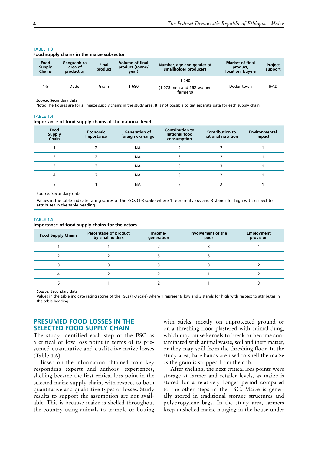| Food<br><b>Supply</b><br><b>Chains</b> | Geographical<br>area of<br>production | <b>Final</b><br>product | <b>Volume of final</b><br>product (tonne/<br>year) | Number, age and gender of<br>smallholder producers | <b>Market of final</b><br>product.<br>location, buyers | Project<br>support |
|----------------------------------------|---------------------------------------|-------------------------|----------------------------------------------------|----------------------------------------------------|--------------------------------------------------------|--------------------|
| 1-5                                    | Deder                                 | Grain                   | 680                                                | 1240<br>(1 078 men and 162 women<br>farmers)       | Deder town                                             | IFAD               |

### <span id="page-23-0"></span>TARIF<sub>13</sub>

## **Food supply chains in the maize subsector**

*Source*: Secondary data

Note: The figures are for all maize supply chains in the study area. It is not possible to get separate data for each supply chain.

#### TABLE 1.4

#### **Importance of food supply chains at the national level**

| Food<br><b>Supply</b><br>Chain | <b>Economic</b><br>Importance | <b>Generation of</b><br>foreign exchange | <b>Contribution to</b><br>national food<br>consumption | <b>Contribution to</b><br>national nutrition | Environmental<br>impact |
|--------------------------------|-------------------------------|------------------------------------------|--------------------------------------------------------|----------------------------------------------|-------------------------|
|                                |                               | NА                                       |                                                        |                                              |                         |
|                                |                               | <b>NA</b>                                |                                                        |                                              |                         |
|                                |                               | NА                                       |                                                        |                                              |                         |
| 4                              |                               | <b>NA</b>                                |                                                        |                                              |                         |
|                                |                               | ΝA                                       |                                                        |                                              |                         |

Source: Secondary data

Values in the table indicate rating scores of the FSCs (1-3 scale) where 1 represents low and 3 stands for high with respect to attributes in the table heading.

#### TABLE 1.5

#### **Importance of food supply chains for the actors**

| <b>Food Supply Chains</b> | Percentage of product<br>by smallholders | Income-<br>generation | Involvement of the<br>poor | <b>Employment</b><br>provision |
|---------------------------|------------------------------------------|-----------------------|----------------------------|--------------------------------|
|                           |                                          |                       |                            |                                |
|                           |                                          |                       |                            |                                |
|                           |                                          |                       |                            |                                |
|                           |                                          |                       |                            |                                |
|                           |                                          |                       |                            |                                |

*Source:* Secondary data

Values in the table indicate rating scores of the FSCs (1-3 scale) where 1 represents low and 3 stands for high with respect to attributes in the table heading.

## **PRESUMED FOOD LOSSES IN THE SELECTED FOOD SUPPLY CHAIN**

The study identified each step of the FSC as a critical or low loss point in terms of its presumed quantitative and qualitative maize losses (Table 1.6).

Based on the information obtained from key responding experts and authors' experiences, shelling became the first critical loss point in the selected maize supply chain, with respect to both quantitative and qualitative types of losses. Study results to support the assumption are not available. This is because maize is shelled throughout the country using animals to trample or beating

with sticks, mostly on unprotected ground or on a threshing floor plastered with animal dung, which may cause kernels to break or become contaminated with animal waste, soil and inert matter, or they may spill from the threshing floor. In the study area, bare hands are used to shell the maize as the grain is stripped from the cob.

After shelling, the next critical loss points were storage at farmer and retailer levels, as maize is stored for a relatively longer period compared to the other steps in the FSC. Maize is generally stored in traditional storage structures and polypropylene bags. In the study area, farmers keep unshelled maize hanging in the house under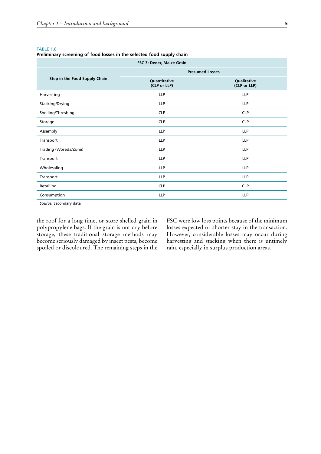#### <span id="page-24-0"></span>TABLE 1.6

**Preliminary screening of food losses in the selected food supply chain**

| FSC 3: Deder, Maize Grain     |                              |                             |  |  |
|-------------------------------|------------------------------|-----------------------------|--|--|
|                               | <b>Presumed Losses</b>       |                             |  |  |
| Step in the Food Supply Chain | Quantitative<br>(CLP or LLP) | Qualitative<br>(CLP or LLP) |  |  |
| Harvesting                    | LLP                          | <b>LLP</b>                  |  |  |
| Stacking/Drying               | <b>LLP</b>                   | <b>LLP</b>                  |  |  |
| Shelling/Threshing            | <b>CLP</b>                   | <b>CLP</b>                  |  |  |
| Storage                       | <b>CLP</b>                   | <b>CLP</b>                  |  |  |
| Assembly                      | <b>LLP</b>                   | <b>LLP</b>                  |  |  |
| Transport                     | <b>LLP</b>                   | <b>LLP</b>                  |  |  |
| Trading (Woreda/Zone)         | <b>LLP</b>                   | <b>LLP</b>                  |  |  |
| Transport                     | <b>LLP</b>                   | <b>LLP</b>                  |  |  |
| Wholesaling                   | LLP                          | <b>LLP</b>                  |  |  |
| Transport                     | <b>LLP</b>                   | <b>LLP</b>                  |  |  |
| Retailing                     | <b>CLP</b>                   | <b>CLP</b>                  |  |  |
| Consumption                   | <b>LLP</b>                   | <b>LLP</b>                  |  |  |

*Source:* Secondary data

the roof for a long time, or store shelled grain in polypropylene bags. If the grain is not dry before storage, these traditional storage methods may become seriously damaged by insect pests, become spoiled or discoloured. The remaining steps in the FSC were low loss points because of the minimum losses expected or shorter stay in the transaction. However, considerable losses may occur during harvesting and stacking when there is untimely rain, especially in surplus production areas.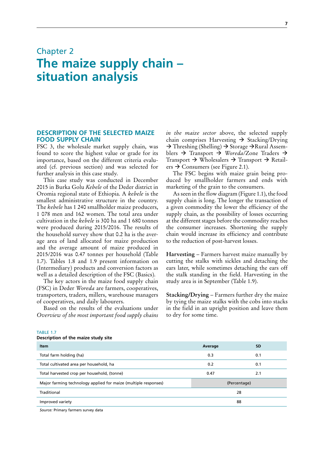## <span id="page-26-0"></span>Chapter 2 **The maize supply chain – situation analysis**

## **DESCRIPTION OF THE SELECTED MAIZE FOOD SUPPLY CHAIN**

FSC 3, the wholesale market supply chain, was found to score the highest value or grade for its importance, based on the different criteria evaluated (cf. previous section) and was selected for further analysis in this case study.

This case study was conducted in December 2015 in Burka Golu *Kebele* of the Deder district in Oromia regional state of Ethiopia. A *kebele* is the smallest administrative structure in the country. The *kebele* has 1 240 smallholder maize producers, 1 078 men and 162 women. The total area under cultivation in the *kebele* is 300 ha and 1 680 tonnes were produced during 2015/2016. The results of the household survey show that 0.2 ha is the average area of land allocated for maize production and the average amount of maize produced in 2015/2016 was 0.47 tonnes per household (Table 1.7). Tables 1.8 and 1.9 present information on (Intermediary) products and conversion factors as well as a detailed description of the FSC (Basics).

The key actors in the maize food supply chain (FSC) in Deder *Woreda* are farmers, cooperatives, transporters, traders, millers, warehouse managers of cooperatives, and daily labourers.

Based on the results of the evaluations under *Overview of the most important food supply chains*  *in the maize sector* above, the selected supply chain comprises Harvesting  $\rightarrow$  Stacking/Drying  $\rightarrow$  Threshing (Shelling)  $\rightarrow$  Storage  $\rightarrow$  Rural Assemblers  $\rightarrow$  Transport  $\rightarrow$  Woreda/Zone Traders  $\rightarrow$ Transport  $\rightarrow$  Wholesalers  $\rightarrow$  Transport  $\rightarrow$  Retail $ers \rightarrow$  Consumers (see Figure 2.1).

The FSC begins with maize grain being produced by smallholder farmers and ends with marketing of the grain to the consumers.

As seen in the flow diagram (Figure 1.1), the food supply chain is long. The longer the transaction of a given commodity the lower the efficiency of the supply chain, as the possibility of losses occurring at the different stages before the commodity reaches the consumer increases. Shortening the supply chain would increase its efficiency and contribute to the reduction of post-harvest losses.

**Harvesting** – Farmers harvest maize manually by cutting the stalks with sickles and detaching the ears later, while sometimes detaching the ears off the stalk standing in the field. Harvesting in the study area is in September (Table 1.9).

**Stacking/Drying** – Farmers further dry the maize by tying the maize stalks with the cobs into stacks in the field in an upright position and leave them to dry for some time.

| <b>Item</b>                                                     | Average     | <b>SD</b>    |  |
|-----------------------------------------------------------------|-------------|--------------|--|
| Total farm holding (ha)                                         | 0.3         | 0.1          |  |
| Total cultivated area per household, ha                         | 0.2         | 0.1          |  |
| Total harvested crop per household, (tonne)                     | 0.47<br>2.1 |              |  |
| Major farming technology applied for maize (multiple responses) |             | (Percentage) |  |
| Traditional                                                     | 28          |              |  |
| Improved variety                                                |             | 88           |  |
|                                                                 |             |              |  |

TABLE 1.7 **Description of the maize study site**

*Source:* Primary farmers survey data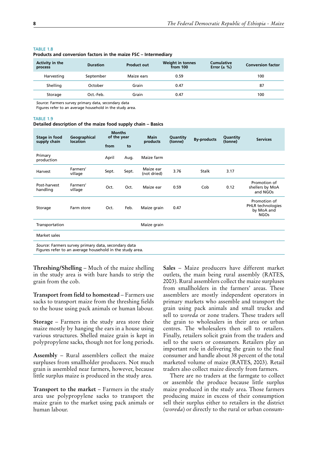| Activity in the<br>process | <b>Duration</b> | <b>Product out</b> | <b>Weight in tonnes</b><br>from 100 | <b>Cumulative</b><br>Error $(\pm \%)$ | <b>Conversion factor</b> |
|----------------------------|-----------------|--------------------|-------------------------------------|---------------------------------------|--------------------------|
| Harvesting                 | September       | Maize ears         | 0.59                                |                                       | 100                      |
| Shelling                   | October         | Grain              | 0.47                                |                                       | 87                       |
| Storage                    | Oct.-Feb.       | Grain              | 0.47                                |                                       | 100                      |
|                            |                 |                    |                                     |                                       |                          |

#### <span id="page-27-0"></span>TARI F 1.8

**Products and conversion factors in the maize FSC – Intermediary**

*Source:* Farmers survey primary data, secondary data

Figures refer to an average household in the study area.

#### TARIF<sub>19</sub>

#### **Detailed description of the maize food supply chain – Basics**

| Stage in food<br>supply chain | Geographical<br><b>location</b>                                                                                 | <b>Months</b><br>of the year |       | <b>Main</b><br>products  | Quantity<br>(tonne) | <b>By-products</b> | Quantity<br>(tonne) | <b>Services</b>                                                |
|-------------------------------|-----------------------------------------------------------------------------------------------------------------|------------------------------|-------|--------------------------|---------------------|--------------------|---------------------|----------------------------------------------------------------|
|                               |                                                                                                                 | from                         | to    |                          |                     |                    |                     |                                                                |
| Primary<br>production         |                                                                                                                 | April                        | Aug.  | Maize farm               |                     |                    |                     |                                                                |
| Harvest                       | Farmers'<br>village                                                                                             | Sept.                        | Sept. | Maize ear<br>(not dried) | 3.76                | <b>Stalk</b>       | 3.17                |                                                                |
| Post-harvest<br>handling      | Farmers'<br>village                                                                                             | Oct.                         | Oct.  | Maize ear                | 0.59                | Cob                | 0.12                | Promotion of<br>shellers by MoA<br>and NGOs                    |
| Storage                       | Farm store                                                                                                      | Oct.                         | Feb.  | Maize grain              | 0.47                |                    |                     | Promotion of<br>PHLR technologies<br>by MoA and<br><b>NGOs</b> |
| Transportation                |                                                                                                                 |                              |       | Maize grain              |                     |                    |                     |                                                                |
| Market sales                  |                                                                                                                 |                              |       |                          |                     |                    |                     |                                                                |
|                               | Source: Farmers survey primary data, secondary data<br>Figures refer to an average household in the study area. |                              |       |                          |                     |                    |                     |                                                                |

**Threshing/Shelling** – Much of the maize shelling in the study area is with bare hands to strip the grain from the cob.

**Transport from field to homestead** – Farmers use sacks to transport maize from the threshing fields to the house using pack animals or human labour.

**Storage** – Farmers in the study area store their maize mostly by hanging the ears in a house using various structures. Shelled maize grain is kept in polypropylene sacks, though not for long periods.

Assembly – Rural assemblers collect the maize surpluses from smallholder producers. Not much grain is assembled near farmers, however, because little surplus maize is produced in the study area.

**Transport to the market** – Farmers in the study area use polypropylene sacks to transport the maize grain to the market using pack animals or human labour.

Sales - Maize producers have different market outlets, the main being rural assembly (RATES, 2003). Rural assemblers collect the maize surpluses from smallholders in the farmers' areas. These assemblers are mostly independent operators in primary markets who assemble and transport the grain using pack animals and small trucks and sell to *woreda* or zone traders. These traders sell the grain to wholesalers in their area or urban centres. The wholesalers then sell to retailers. Finally, retailers solicit grain from the traders and sell to the users or consumers*.* Retailers play an important role in delivering the grain to the final consumer and handle about 38 percent of the total marketed volume of maize (RATES, 2003). Retail traders also collect maize directly from farmers.

There are no traders at the farmgate to collect or assemble the produce because little surplus maize produced in the study area. Those farmers producing maize in excess of their consumption sell their surplus either to retailers in the district (*woreda*) or directly to the rural or urban consum-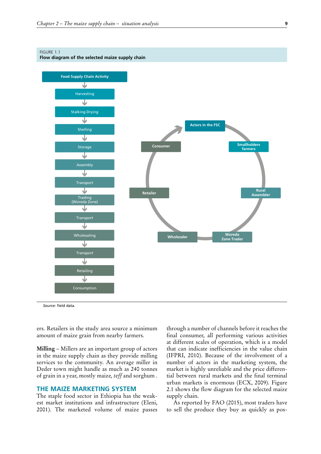#### <span id="page-28-0"></span>FIGURE 1.1

**Flow diagram of the selected maize supply chain**



*Source:* field data.

ers. Retailers in the study area source a minimum amount of maize grain from nearby farmers.

**Milling** – Millers are an important group of actors in the maize supply chain as they provide milling services to the community. An average miller in Deder town might handle as much as 240 tonnes of grain in a year, mostly maize*, teff* and sorghum .

## **THE MAIZE MARKETING SYSTEM**

The staple food sector in Ethiopia has the weakest market institutions and infrastructure (Eleni, 2001). The marketed volume of maize passes

through a number of channels before it reaches the final consumer, all performing various activities at different scales of operation, which is a model that can indicate inefficiencies in the value chain (IFPRI, 2010). Because of the involvement of a number of actors in the marketing system, the market is highly unreliable and the price differential between rural markets and the final terminal urban markets is enormous (ECX, 2009). Figure 2.1 shows the flow diagram for the selected maize supply chain.

As reported by FAO (2015), most traders have to sell the produce they buy as quickly as pos-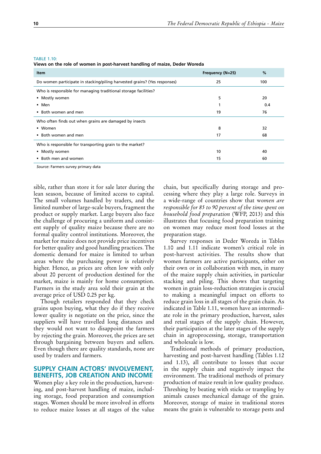#### <span id="page-29-0"></span>TABLE 1.10:

**Views on the role of women in post-harvest handling of maize, Deder Woreda**

| Frequency (N=25) | %   |
|------------------|-----|
| 25               | 100 |
|                  |     |
| 5                | 20  |
|                  | 0.4 |
| 19               | 76  |
|                  |     |
| 8                | 32  |
| 17               | 68  |
|                  |     |
| 10               | 40  |
| 15               | 60  |
|                  |     |

*Source*: Farmers survey primary data

sible, rather than store it for sale later during the lean season, because of limited access to capital. The small volumes handled by traders, and the limited number of large-scale buyers, fragment the product or supply market. Large buyers also face the challenge of procuring a uniform and consistent supply of quality maize because there are no formal quality control institutions. Moreover, the market for maize does not provide price incentives for better quality and good handling practices. The domestic demand for maize is limited to urban areas where the purchasing power is relatively higher. Hence, as prices are often low with only about 20 percent of production destined for the market, maize is mainly for home consumption. Farmers in the study area sold their grain at the average price of USD 0.25 per kg.

Though retailers responded that they check grains upon buying, what they do if they receive lower quality is negotiate on the price, since the suppliers will have travelled long distances and they would not want to disappoint the farmers by rejecting the grain. Moreover, the prices are set through bargaining between buyers and sellers. Even though there are quality standards, none are used by traders and farmers.

## **SUPPLY CHAIN ACTORS' INVOLVEMENT, BENEFITS, JOB CREATION AND INCOME**

Women play a key role in the production, harvesting, and post-harvest handling of maize, including storage, food preparation and consumption stages. Women should be more involved in efforts to reduce maize losses at all stages of the value

chain, but specifically during storage and processing where they play a large role. Surveys in a wide-range of countries show that w*omen are responsible for 85 to 90 percent of the time spent on household food preparation* (WFP, 2013) and this illustrates that focusing food preparation training on women may reduce most food losses at the preparation stage.

Survey responses in Deder Woreda in Tables 1.10 and 1.11 indicate women's critical role in post-harvest activities. The results show that women farmers are active participants, either on their own or in collaboration with men, in many of the maize supply chain activities, in particular stacking and piling. This shows that targeting women in grain loss-reduction strategies is crucial to making a meaningful impact on efforts to reduce grain loss in all stages of the grain chain. As indicated in Table 1.11, women have an intermediate role in the primary production, harvest, sales and retail stages of the supply chain. However, their participation at the later stages of the supply chain in agroprocessing, storage, transportation and wholesale is low.

Traditional methods of primary production, harvesting and post-harvest handling (Tables 1.12 and 1.13), all contribute to losses that occur in the supply chain and negatively impact the environment. The traditional methods of primary production of maize result in low quality produce. Threshing by beating with sticks or trampling by animals causes mechanical damage of the grain. Moreover, storage of maize in traditional stores means the grain is vulnerable to storage pests and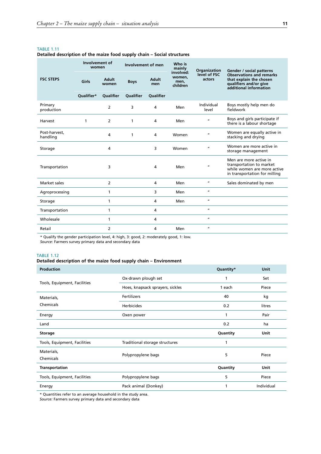#### <span id="page-30-0"></span>TABLE 1.11

### **Detailed description of the maize food supply chain – Social structures**

|                           | Involvement of<br>women |                  | Involvement of men |              | Who is<br>mainly                        | Organization           | Gender / social patterns                                                                                           |
|---------------------------|-------------------------|------------------|--------------------|--------------|-----------------------------------------|------------------------|--------------------------------------------------------------------------------------------------------------------|
| <b>FSC STEPS</b>          | Girls                   | Adult<br>women   | <b>Boys</b>        | Adult<br>men | involved:<br>women.<br>men,<br>children | level of FSC<br>actors | <b>Observations and remarks</b><br>that explain the chosen<br>qualifiers and/or give<br>additional information     |
|                           | Oualifier*              | <b>Oualifier</b> | <b>Oualifier</b>   | Qualifier    |                                         |                        |                                                                                                                    |
| Primary<br>production     |                         | $\overline{2}$   | 3                  | 4            | Men                                     | Individual<br>level    | Boys mostly help men do<br>fieldwork                                                                               |
| Harvest                   | 1                       | $\overline{2}$   | 1                  | 4            | Men                                     | $\mathbf{u}$           | Boys and girls participate if<br>there is a labour shortage                                                        |
| Post-harvest.<br>handling |                         | 4                | 1                  | 4            | Women                                   | $\mathbf{u}$           | Women are equally active in<br>stacking and drying                                                                 |
| Storage                   |                         | 4                |                    | 3            | Women                                   | $\mathbf{u}$           | Women are more active in<br>storage management                                                                     |
| Transportation            |                         | 3                |                    | 4            | Men                                     | $\boldsymbol{u}$       | Men are more active in<br>transportation to market<br>while women are more active<br>in transportation for milling |
| Market sales              |                         | $\overline{2}$   |                    | 4            | Men                                     | $\boldsymbol{u}$       | Sales dominated by men                                                                                             |
| Agroprocessing            |                         | 1                |                    | 3            | Men                                     | $\boldsymbol{u}$       |                                                                                                                    |
| Storage                   |                         | 1                |                    | 4            | Men                                     | $\mathbf{u}$           |                                                                                                                    |
| Transportation            |                         | 1                |                    | 4            |                                         | $\boldsymbol{\mu}$     |                                                                                                                    |
| Wholesale                 |                         | 1                |                    | 4            |                                         | $\boldsymbol{u}$       |                                                                                                                    |
| Retail                    |                         | $\overline{2}$   |                    | 4            | Men                                     | $\boldsymbol{u}$       |                                                                                                                    |

\* Qualify the gender participation level, 4: high, 3: good, 2: moderately good, 1: low.

*Source*: Farmers survey primary data and secondary data

#### TABLE 1.12

## **Detailed description of the maize food supply chain – Environment**

| Production                   |                                  | Quantity* | <b>Unit</b> |
|------------------------------|----------------------------------|-----------|-------------|
|                              | Ox-drawn plough set              | 1         | Set         |
| Tools, Equipment, Facilities | Hoes, knapsack sprayers, sickles | 1 each    | Piece       |
| Materials,                   | <b>Fertilizers</b>               | 40        | kg          |
| Chemicals                    | <b>Herbicides</b>                | 0.2       | litres      |
| Energy                       | Oxen power                       | 1         | Pair        |
| Land                         |                                  | 0.2       | ha          |
| Storage                      |                                  | Quantity  | Unit        |
| Tools, Equipment, Facilities | Traditional storage structures   | 1         |             |
| Materials,<br>Chemicals      | Polypropylene bags               | 5         | Piece       |
| Transportation               |                                  | Quantity  | Unit        |
| Tools, Equipment, Facilities | Polypropylene bags               | 5         | Piece       |
| Energy                       | Pack animal (Donkey)             | 1         | Individual  |

\* Quantities refer to an average household in the study area.

*Source:* Farmers survey primary data and secondary data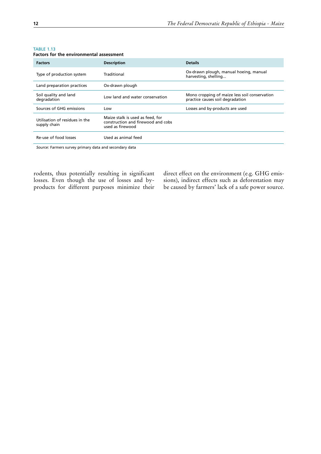| <b>Factors</b>                                 | <b>Description</b>                                                                         | <b>Details</b>                                                                    |
|------------------------------------------------|--------------------------------------------------------------------------------------------|-----------------------------------------------------------------------------------|
| Type of production system                      | Traditional                                                                                | Ox-drawn plough, manual hoeing, manual<br>harvesting, shelling                    |
| Land preparation practices                     | Ox-drawn plough                                                                            |                                                                                   |
| Soil quality and land<br>degradation           | Low land and water conservation                                                            | Mono cropping of maize less soil conservation<br>practice causes soil degradation |
| Sources of GHG emissions                       | Low                                                                                        | Losses and by-products are used                                                   |
| Utilisation of residues in the<br>supply chain | Maize stalk is used as feed, for<br>construction and firewood and cobs<br>used as firewood |                                                                                   |
| Re-use of food losses                          | Used as animal feed                                                                        |                                                                                   |
|                                                |                                                                                            |                                                                                   |

#### <span id="page-31-0"></span>TABLE 1.13

**Factors for the environmental assessment**

*Source:* Farmers survey primary data and secondary data

rodents, thus potentially resulting in significant losses. Even though the use of losses and byproducts for different purposes minimize their direct effect on the environment (e.g. GHG emissions), indirect effects such as deforestation may be caused by farmers' lack of a safe power source.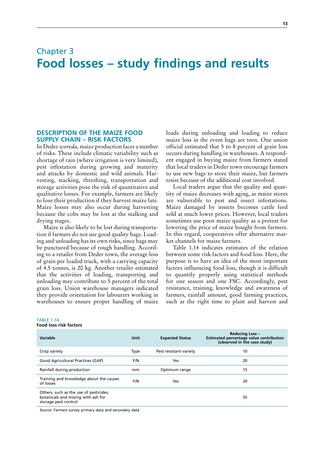## <span id="page-32-0"></span>Chapter 3 **Food losses – study findings and results**

## **DESCRIPTION OF THE MAIZE FOOD SUPPLY CHAIN – RISK FACTORS**

In Deder *woreda*, maize production faces a number of risks. These include climatic variability such as shortage of rain (where irrigation is very limited), pest infestation during growing and maturity and attacks by domestic and wild animals. Harvesting, stacking, threshing, transportation and storage activities pose the risk of quantitative and qualitative losses. For example, farmers are likely to lose their production if they harvest maize late. Maize losses may also occur during harvesting because the cobs may be lost at the stalking and drying stages.

Maize is also likely to be lost during transportation if farmers do not use good quality bags. Loading and unloading has its own risks, since bags may be punctured because of rough handling. According to a retailer from Deder town, the average loss of grain per loaded truck, with a carrying capacity of 4.5 tonnes, is 20 kg. Another retailer estimated that the activities of loading, transporting and unloading may contribute to 5 percent of the total grain loss. Union warehouse managers indicated they provide orientation for labourers working in warehouses to ensure proper handling of maize loads during unloading and loading to reduce maize loss in the event bags are torn. One union official estimated that 5 to 8 percent of grain loss occurs during handling in warehouses. A respondent engaged in buying maize from farmers stated that local traders in Deder town encourage farmers to use new bags to store their maize, but farmers resist because of the additional cost involved.

Local traders argue that the quality and quantity of maize decreases with aging, as maize stores are vulnerable to pest and insect infestations. Maize damaged by insects becomes cattle feed sold at much lower prices. However, local traders sometimes use poor maize quality as a pretext for lowering the price of maize bought from farmers. In this regard, cooperatives offer alternative market channels for maize farmers.

Table 1.14 indicates estimates of the relation between some risk factors and food loss. Here, the purpose is to have an idea of the most important factors influencing food loss, though it is difficult to quantify properly using statistical methods for one season and one FSC. Accordingly, pest resistance, training, knowledge and awareness of farmers, rainfall amount, good farming practices, such as the right time to plant and harvest and

| Variable                                                                                             | Unit        | <b>Expected Status</b> | <b>Reducing Loss -</b><br>Estimated percentage value contribution<br>(observed in the case study) |
|------------------------------------------------------------------------------------------------------|-------------|------------------------|---------------------------------------------------------------------------------------------------|
| Crop variety                                                                                         | <b>Type</b> | Pest resistant variety | 10                                                                                                |
| Good Agricultural Practices (GAP)                                                                    | Y/N         | Yes                    | 20                                                                                                |
| Rainfall during production                                                                           | mm          | Optimum range          | 15                                                                                                |
| Training and knowledge about the causes<br>of losses                                                 | Y/N         | Yes                    | 20                                                                                                |
| Others, such as the use of pesticides,<br>botanicals and mixing with ash for<br>storage pest control |             |                        | 35                                                                                                |

#### TABLE 1.14 **Food loss risk factors**

*Source*: Farmers survey primary data and secondary data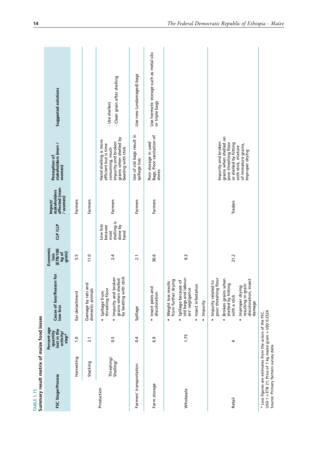<span id="page-33-0"></span>

| TABLE 1.15              | Summary result matrix of maize food losses                                                                                                                   |                                                              |                                                                                                                                                                                                                           |                                                              |                                                               |                                                    |                                                                                                                                                                 |                                                           |
|-------------------------|--------------------------------------------------------------------------------------------------------------------------------------------------------------|--------------------------------------------------------------|---------------------------------------------------------------------------------------------------------------------------------------------------------------------------------------------------------------------------|--------------------------------------------------------------|---------------------------------------------------------------|----------------------------------------------------|-----------------------------------------------------------------------------------------------------------------------------------------------------------------|-----------------------------------------------------------|
| FSC Stage/Process       |                                                                                                                                                              | Percent-age<br>quantity<br>lost in the<br>activity/<br>step* | Cause of loss/Reason for<br>low loss                                                                                                                                                                                      | Economic<br><b>ETB/100</b><br>kg of<br>grain)<br><b>loss</b> | CLP /LLP                                                      | affected (men<br>stakeholders<br>(women)<br>mpact/ | stakeholders (men /<br>Perception of<br>women)                                                                                                                  | Suggested solutions                                       |
|                         | Harvesting                                                                                                                                                   | $\frac{0}{1}$                                                | Ear detachment                                                                                                                                                                                                            | 5.5                                                          |                                                               | Farmers                                            |                                                                                                                                                                 |                                                           |
|                         | Stacking                                                                                                                                                     | $\overline{2.1}$                                             | and<br>Damage by rats a<br>domestic animals                                                                                                                                                                               | 11.0                                                         |                                                               | Farmers                                            |                                                                                                                                                                 |                                                           |
| Production              | Threshing/<br>Shelling                                                                                                                                       | 0.5                                                          | grains when shelled<br>by beating with stick<br>Impurity and broken<br>threshing floor<br>Spillage from<br>$\blacksquare$<br>$\blacksquare$                                                                               | 2.4                                                          | shelling is<br>Low loss<br>done by<br>because<br>hand<br>most | Farmers                                            | grains when shelled by<br>Hand shelling is more<br>efficient but is time<br>impurity and broken<br>beating with stick<br>consuming, much                        | - Clean grain after shelling<br>- Use shellers            |
| Farmers' transportation |                                                                                                                                                              | 0.4                                                          | Spillage                                                                                                                                                                                                                  | 2.1                                                          |                                                               | Farmers                                            | Use of old bags result in<br>spillage loss                                                                                                                      | Use new (undamaged) bags                                  |
| Farm storage            |                                                                                                                                                              | 6.9                                                          | Insect pests and<br>discoloration                                                                                                                                                                                         | 36.6                                                         |                                                               | Farmers                                            | Bags, Poor sanitation of<br>Poor storage in used<br>stores                                                                                                      | Use hermetic storage such as metal silo<br>or triple bags |
| Wholesale               |                                                                                                                                                              | 1.75                                                         | old bags and labour-<br>ers' negligence<br>from further drying<br>Spillage because of<br>Weight loss results<br>Insect infestation<br>Impurity<br>$\blacksquare$<br>$\blacksquare$<br>ċ                                   | 9.3                                                          |                                                               |                                                    |                                                                                                                                                                 |                                                           |
| Retail                  |                                                                                                                                                              | 4                                                            | j floor<br>when<br>insect<br>Impurity related to<br>Broken grains whe<br>shelled by hitting<br>Improper drying<br>resulting in grain<br>poor threshing<br>discoloration,<br>with a stick<br>damage<br>ä<br>$\blacksquare$ | 21.2                                                         |                                                               | Traders                                            | grains when shelled on<br>Impurity and broken<br>poor threshing floor<br>or shelled by hitting<br>of immature grains,<br>with stick, mixture<br>Improper drying |                                                           |
|                         | $USD 1 = ETB 21$ ; Price of 1 kg maize grain = USD 0.2524<br>* Loss figures are estimates from the actors of the FSC.<br>Source: Primary farmers survey data |                                                              |                                                                                                                                                                                                                           |                                                              |                                                               |                                                    |                                                                                                                                                                 |                                                           |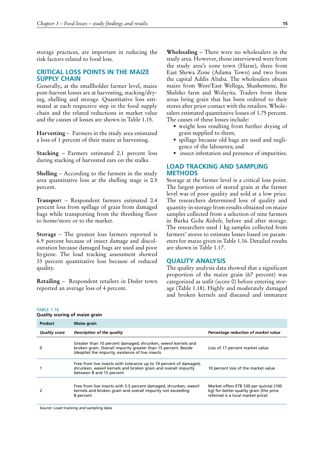<span id="page-34-0"></span>storage practices, are important in reducing the risk factors related to food loss.

## **CRITICAL LOSS POINTS IN THE MAIZE SUPPLY CHAIN**

Generally**,** at the smallholder farmer level, maize post-harvest losses are at harvesting, stacking/drying, shelling and storage. Quantitative loss estimated at each respective step in the food supply chain and the related reductions in market value and the causes of losses are shown in Table 1.15.

**Harvesting** – Farmers in the study area estimated a loss of 1 percent of their maize at harvesting.

**Stacking** – Farmers estimated 2.1 percent loss during stacking of harvested ears on the stalks.

**Shelling** – According to the farmers in the study area quantitative loss at the shelling stage is 0.5 percent.

**Transpor**t – Respondent farmers estimated 0.4 percent loss from spillage of grain from damaged bags while transporting from the threshing floor to home/store or to the market.

**Storage** – The greatest loss farmers reported is 6.9 percent because of insect damage and discolouration because damaged bags are used and poor hygiene. The load tracking assessment showed 33 percent quantitative loss because of reduced quality.

**Retailing** – Respondent retailers in Deder town reported an average loss of 4 percent.

**Wholesaling** – There were no wholesalers in the study area. However, those interviewed were from the study area's zone town (Harar), three from East Shewa Zone (Adama Town) and two from the capital Addis Ababa. The wholesalers obtain maize from West/East Wellega, Shashemene, Bir Sheleko farm and Wolayita. Traders from these areas bring grain that has been ordered to their stores after prior contact with the retailers. Wholesalers estimated quantitative losses of 1.75 percent. The causes of these losses include:

- weight loss resulting from further drying of grain supplied to them;
- spillage because old bags are used and negligence of the labourers; and
- **i** insect infestation and presence of impurities.

## **LOAD TRACKING AND SAMPLING METHODS**

Storage at the farmer level is a critical loss point. The largest portion of stored grain at the farmer level was of poor quality and sold at a low price. The researchers determined loss of quality and quantity in storage from results obtained on maize samples collected from a selection of nine farmers in Burka Golu *Kebele,* before and after storage. The researchers used 1 kg samples collected from farmers' stores to estimate losses based on parameters for maize given in Table 1.16. Detailed results are shown in Table 1.17.

#### **QUALITY ANALYSIS**

The quality analysis data showed that a significant proportion of the maize grain (67 percent) was categorized as unfit (score 0) before entering storage (Table 1.18). Highly and moderately damaged and broken kernels and diseased and immature

TABLE 1.16 **Quality scoring of maize grain**

| Product              | Maize grain                                                                                                                                                                          |                                                                                                                        |
|----------------------|--------------------------------------------------------------------------------------------------------------------------------------------------------------------------------------|------------------------------------------------------------------------------------------------------------------------|
| <b>Quality score</b> | Description of the quality                                                                                                                                                           | Percentage reduction of market value                                                                                   |
| 0                    | Greater than 10 percent damaged, shrunken, weevil kernels and<br>broken grain. Overall impurity greater than 15 percent. Beside<br>(despite) the impurity, existence of live insects | Loss of 17 percent market value                                                                                        |
|                      | Free from live insects with tolerance up to 10 percent of damaged,<br>shrunken, weevil kernels and broken grain and overall impurity<br>between 8 and 15 percent                     | 10 percent loss of the market value                                                                                    |
|                      | Free from live insects with 5.5 percent damaged, shrunken, weevil<br>kernels and broken grain and overall impurity not exceeding<br>8 percent                                        | Market offers ETB 530 per quintal (100<br>kg) for better quality grain (the price<br>referred is a local market price) |

*Source:* Load tracking and sampling data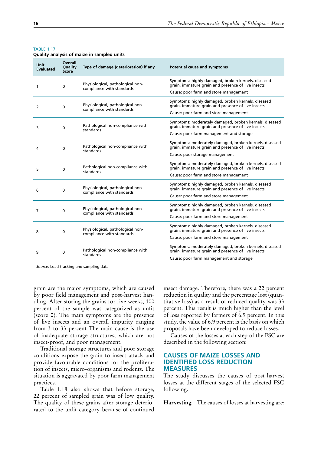| Unit<br>Evaluated | <b>Overall</b><br>Quality<br><b>Score</b> | Type of damage (deterioration) if any                         | Potential cause and symptoms                                                                                                                            |
|-------------------|-------------------------------------------|---------------------------------------------------------------|---------------------------------------------------------------------------------------------------------------------------------------------------------|
| 1                 | 0                                         | Physiological, pathological non-<br>compliance with standards | Symptoms: highly damaged, broken kernels, diseased<br>grain, immature grain and presence of live insects<br>Cause: poor farm and store management       |
| 2                 | 0                                         | Physiological, pathological non-<br>compliance with standards | Symptoms: highly damaged, broken kernels, diseased<br>grain, immature grain and presence of live insects<br>Cause: poor farm and store management       |
| 3                 | 0                                         | Pathological non-compliance with<br>standards                 | Symptoms: moderately damaged, broken kernels, diseased<br>grain, immature grain and presence of live insects<br>Cause: poor farm management and storage |
| 4                 | 0                                         | Pathological non-compliance with<br>standards                 | Symptoms: moderately damaged, broken kernels, diseased<br>grain, immature grain and presence of live insects<br>Cause: poor storage management          |
| 5                 | 0                                         | Pathological non-compliance with<br>standards                 | Symptoms: moderately damaged, broken kernels, diseased<br>grain, immature grain and presence of live insects<br>Cause: poor farm and store management   |
| 6                 | 0                                         | Physiological, pathological non-<br>compliance with standards | Symptoms: highly damaged, broken kernels, diseased<br>grain, immature grain and presence of live insects<br>Cause: poor farm and store management       |
| 7                 | 0                                         | Physiological, pathological non-<br>compliance with standards | Symptoms: highly damaged, broken kernels, diseased<br>grain, immature grain and presence of live insects<br>Cause: poor farm and store management       |
| 8                 | 0                                         | Physiological, pathological non-<br>compliance with standards | Symptoms: highly damaged, broken kernels, diseased<br>grain, immature grain and presence of live insects<br>Cause: poor farm and store management       |
| 9                 | $\Omega$                                  | Pathological non-compliance with<br>standards                 | Symptoms: moderately damaged, broken kernels, diseased<br>grain, immature grain and presence of live insects<br>Cause: poor farm management and storage |

<span id="page-35-0"></span>**TABLE 1.17** 

**Quality analysis of maize in sampled units**

*Source*: Load tracking and sampling data

grain are the major symptoms, which are caused by poor field management and post-harvest handling. After storing the grains for five weeks, 100 percent of the sample was categorized as unfit (score 0). The main symptoms are the presence of live insects and an overall impurity ranging from 3 to 33 percent The main cause is the use of inadequate storage structures, which are not insect-proof, and poor management.

Traditional storage structures and poor storage conditions expose the grain to insect attack and provide favourable conditions for the proliferation of insects, micro-organisms and rodents. The situation is aggravated by poor farm management practices.

Table 1.18 also shows that before storage, 22 percent of sampled grain was of low quality. The quality of these grains after storage deteriorated to the unfit category because of continued

insect damage. Therefore, there was a 22 percent reduction in quality and the percentage lost (quantitative loss) as a result of reduced quality was 33 percent. This result is much higher than the level of loss reported by farmers of 6.9 percent. In this study, the value of 6.9 percent is the basis on which proposals have been developed to reduce losses.

Causes of the losses at each step of the FSC are described in the following section:

## **CAUSES OF MAIZE LOSSES AND IDENTIFIED LOSS REDUCTION MEASURES**

The study discusses the causes of post-harvest losses at the different stages of the selected FSC following.

**Harvesting** – The causes of losses at harvesting are: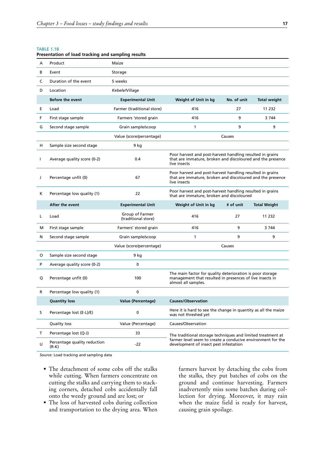#### <span id="page-36-0"></span>TABLE 1.18

| A            | Product                     | Maize                                  |                                                                                                                                                                      |             |                     |  |  |
|--------------|-----------------------------|----------------------------------------|----------------------------------------------------------------------------------------------------------------------------------------------------------------------|-------------|---------------------|--|--|
| В            | Event                       | Storage                                |                                                                                                                                                                      |             |                     |  |  |
| C            | Duration of the event       | 5 weeks                                |                                                                                                                                                                      |             |                     |  |  |
| D            | Location                    | Kebele/Village                         |                                                                                                                                                                      |             |                     |  |  |
|              | <b>Before the event</b>     | <b>Experimental Unit</b>               | Weight of Unit in kg                                                                                                                                                 | No. of unit | <b>Total weight</b> |  |  |
| E            | Load                        | Farmer (traditional store)             | 416                                                                                                                                                                  | 27          | 11 232              |  |  |
| F            | First stage sample          | Farmers 'stored grain                  | 416                                                                                                                                                                  | 9           | 3744                |  |  |
| G            | Second stage sample         | Grain sample/scoop                     | 1                                                                                                                                                                    | 9           | 9                   |  |  |
|              |                             | Value (score/percentage)               |                                                                                                                                                                      | Causes      |                     |  |  |
| н            | Sample size second stage    | 9 kg                                   |                                                                                                                                                                      |             |                     |  |  |
| $\mathbf{I}$ | Average quality score (0-2) | 0.4                                    | Poor harvest and post-harvest handling resulted in grains<br>that are immature, broken and discoloured and the presence<br>live insects                              |             |                     |  |  |
| J            | Percentage unfit (0)        | 67                                     | Poor harvest and post-harvest handling resulted in grains<br>that are immature, broken and discoloured and the presence<br>live insects                              |             |                     |  |  |
| К            | Percentage low quality (1)  | 22                                     | Poor harvest and post-harvest handling resulted in grains<br>that are immature, broken and discoloured                                                               |             |                     |  |  |
|              | After the event             | <b>Experimental Unit</b>               | Weight of Unit in kg                                                                                                                                                 | # of unit   | <b>Total Weight</b> |  |  |
| L            | Load                        | Group of Farmer<br>(traditional store) | 416                                                                                                                                                                  | 27          | 11 2 3 2            |  |  |
| М            | First stage sample          | Farmers' stored grain                  | 416                                                                                                                                                                  | 9           | 3 7 4 4             |  |  |
| N            | Second stage sample         | Grain sample/scoop                     | 1                                                                                                                                                                    | 9           | 9                   |  |  |
|              |                             | Value (score/percentage)               |                                                                                                                                                                      | Causes      |                     |  |  |
| O            | Sample size second stage    | 9 kg                                   |                                                                                                                                                                      |             |                     |  |  |
| P            | Average quality score (0-2) | $\mathbf{0}$                           |                                                                                                                                                                      |             |                     |  |  |
| Q            | Percentage unfit (0)        | 100                                    | The main factor for quality deterioration is poor storage<br>management that resulted in presences of live insects in<br>almost all samples.                         |             |                     |  |  |
| R            | Percentage low quality (1)  | 0                                      |                                                                                                                                                                      |             |                     |  |  |
|              | <b>Quantity loss</b>        | Value (Percentage)                     | <b>Causes/Observation</b>                                                                                                                                            |             |                     |  |  |
| s            | Percentage lost (E-L)/E)    | 0                                      | Here it is hard to see the change in quantity as all the maize<br>was not threshed yet                                                                               |             |                     |  |  |
|              | Quality loss                | Value (Percentage)                     | Causes/Observation                                                                                                                                                   |             |                     |  |  |
| т            | Percentage lost (Q-J)       | 33                                     |                                                                                                                                                                      |             |                     |  |  |
|              |                             |                                        | The traditional storage techniques and limited treatment at<br>farmer level seem to create a conducive environment for the<br>development of insect pest infestation |             |                     |  |  |

#### **Presentation of load tracking and sampling results**

*Source:* Load tracking and sampling data

- The detachment of some cobs off the stalks while cutting. When farmers concentrate on cutting the stalks and carrying them to stacking corners, detached cobs accidentally fall onto the weedy ground and are lost; or
- The loss of harvested cobs during collection and transportation to the drying area. When

farmers harvest by detaching the cobs from the stalks, they put batches of cobs on the ground and continue harvesting. Farmers inadvertently miss some batches during collection for drying. Moreover, it may rain when the maize field is ready for harvest, causing grain spoilage.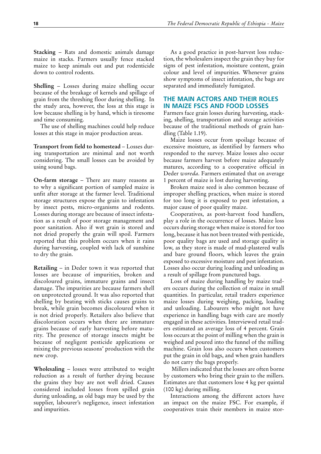<span id="page-37-0"></span>**Stacking – Rats and domestic animals damage** maize in stacks. Farmers usually fence stacked maize to keep animals out and put rodenticide down to control rodents.

**Shelling – Losses during maize shelling occur** because of the breakage of kernels and spillage of grain from the threshing floor during shelling. In the study area, however, the loss at this stage is low because shelling is by hand, which is tiresome and time consuming.

The use of shelling machines could help reduce losses at this stage in major production areas.

**Transport from field to homestead** – Losses during transportation are minimal and not worth considering. The small losses can be avoided by using sound bags.

**On-farm storage** – There are many reasons as to why a significant portion of sampled maize is unfit after storage at the farmer level. Traditional storage structures expose the grain to infestation by insect pests, micro-organisms and rodents. Losses during storage are because of insect infestation as a result of poor storage management and poor sanitation. Also if wet grain is stored and not dried properly the grain will spoil. Farmers reported that this problem occurs when it rains during harvesting, coupled with lack of sunshine to dry the grain.

**Retailing** – in Deder town it was reported that losses are because of impurities, broken and discoloured grains, immature grains and insect damage. The impurities are because farmers shell on unprotected ground. It was also reported that shelling by beating with sticks causes grains to break, while grain becomes discoloured when it is not dried properly. Retailers also believe that discoloration occurs when there are immature grains because of early harvesting before maturity. The presence of storage insects might be because of negligent pesticide applications or mixing the previous seasons' production with the new crop.

Wholesaling - losses were attributed to weight reduction as a result of further drying because the grains they buy are not well dried. Causes considered included losses from spilled grain during unloading, as old bags may be used by the supplier, labourer's negligence, insect infestation and impurities.

As a good practice in post-harvest loss reduction, the wholesalers inspect the grain they buy for signs of pest infestation, moisture content, grain colour and level of impurities. Whenever grains show symptoms of insect infestation, the bags are separated and immediately fumigated.

## **THE MAIN ACTORS AND THEIR ROLES IN MAIZE FSCS AND FOOD LOSSES**

Farmers face grain losses during harvesting, stacking, shelling, transportation and storage activities because of the traditional methods of grain handling (Table 1.19).

Maize losses occur from spoilage because of excessive moisture, as identified by farmers who responded to the survey. Maize losses also occur because farmers harvest before maize adequately matures, according to a cooperative official in Deder *woreda*. Farmers estimated that on average 1 percent of maize is lost during harvesting.

Broken maize seed is also common because of improper shelling practices, when maize is stored for too long it is exposed to pest infestation, a major cause of poor quality maize.

Cooperatives, as post-harvest food handlers, play a role in the occurrence of losses. Maize loss occurs during storage when maize is stored for too long, because it has not been treated with pesticide, poor quality bags are used and storage quality is low, as they store is made of mud-plastered walls and bare ground floors, which leaves the grain exposed to excessive moisture and pest infestation. Losses also occur during loading and unloading as a result of spillage from punctured bags.

Loss of maize during handling by maize traders occurs during the collection of maize in small quantities. In particular, retail traders experience maize losses during weighing, packing, loading and unloading. Labourers who might not have experience in handling bags with care are mostly engaged in these activities. Interviewed retail traders estimated an average loss of 4 percent. Grain loss occurs at the point of milling when the grain is weighed and poured into the funnel of the milling machine. Grain loss also occurs when customers put the grain in old bags, and when grain handlers do not carry the bags properly.

 Millers indicated that the losses are often borne by customers who bring their grain to the millers. Estimates are that customers lose 4 kg per quintal (100 kg) during milling.

Interactions among the different actors have an impact on the maize FSC. For example, if cooperatives train their members in maize stor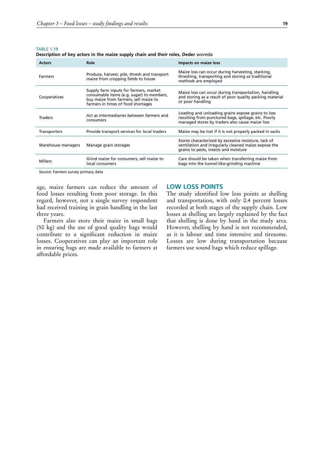<span id="page-38-0"></span>TABLE 1.19

**Description of key actors in the maize supply chain and their roles, Deder** *woreda*

| <b>Actors</b>       | Role                                                                                                                                                               | Impacts on maize loss                                                                                                                                         |
|---------------------|--------------------------------------------------------------------------------------------------------------------------------------------------------------------|---------------------------------------------------------------------------------------------------------------------------------------------------------------|
| <b>Farmers</b>      | Produce, harvest, pile, thresh and transport<br>maize from cropping fields to house                                                                                | Maize loss can occur during harvesting, stacking,<br>threshing, transporting and storing as traditional<br>methods are employed                               |
| Cooperatives        | Supply farm inputs for farmers, market<br>consumable items (e.g. sugar) to members,<br>buy maize from farmers, sell maize to<br>farmers in times of food shortages | Maize loss can occur during transportation, handling<br>and storing as a result of poor quality packing material<br>or poor handling                          |
| <b>Traders</b>      | Act as intermediaries between farmers and<br>consumers                                                                                                             | Loading and unloading grains expose grains to loss<br>resulting from punctured bags, spillage, etc. Poorly<br>managed stores by traders also cause maize loss |
| <b>Transporters</b> | Provide transport services for local traders                                                                                                                       | Maize may be lost if it is not properly packed in sacks                                                                                                       |
| Warehouse managers  | Manage grain storages                                                                                                                                              | Stores characterized by excessive moisture, lack of<br>ventilation and irregularly cleaned maize expose the<br>grains to pests, insects and moisture          |
| <b>Millers</b>      | Grind maize for consumers, sell maize to<br>local consumers                                                                                                        | Care should be taken when transferring maize from<br>bags into the tunnel-like-grinding machine                                                               |

*Source:* Farmers survey primary data

age, maize farmers can reduce the amount of food losses resulting from poor storage. In this regard, however, not a single survey respondent had received training in grain handling in the last three years.

Farmers also store their maize in small bags (50 kg) and the use of good quality bags would contribute to a significant reduction in maize losses. Cooperatives can play an important role in ensuring bags are made available to farmers at affordable prices.

## **LOW LOSS POINTS**

The study identified low loss points as shelling and transportation, with only 0.4 percent losses recorded at both stages of the supply chain. Low losses at shelling are largely explained by the fact that shelling is done by hand in the study area. However, shelling by hand is not recommended, as it is labour and time intensive and tiresome. Losses are low during transportation because farmers use sound bags which reduce spillage.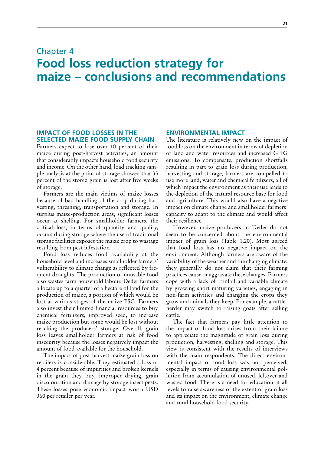## <span id="page-40-0"></span>Chapter 4 **Food loss reduction strategy for maize – conclusions and recommendations**

## **IMPACT OF FOOD LOSSES IN THE SELECTED MAIZE FOOD SUPPLY CHAIN**

Farmers expect to lose over 10 percent of their maize during post-harvest activities, an amount that considerably impacts household food security and income. On the other hand, load tracking sample analysis at the point of storage showed that 33 percent of the stored grain is lost after five weeks of storage.

Farmers are the main victims of maize losses because of bad handling of the crop during harvesting, threshing, transportation and storage. In surplus maize-production areas, significant losses occur at shelling. For smallholder farmers, the critical loss, in terms of quantity and quality, occurs during storage where the use of traditional storage facilities exposes the maize crop to wastage resulting from pest infestation.

Food loss reduces food availability at the household level and increases smallholder farmers' vulnerability to climate change as reflected by frequent droughts. The production of unusable food also wastes farm household labour. Deder farmers allocate up to a quarter of a hectare of land for the production of maize, a portion of which would be lost at various stages of the maize FSC. Farmers also invest their limited financial resources to buy chemical fertilizers, improved seed, to increase maize production but some would be lost without reaching the producers' storage. Overall, grain loss leaves smallholder farmers at risk of food insecurity because the losses negatively impact the amount of food available for the household.

The impact of post-harvest maize grain loss on retailers is considerable. They estimated a loss of 4 percent because of impurities and broken kernels in the grain they buy, improper drying, grain discolouration and damage by storage insect pests. These losses pose economic impact worth USD 360 per retailer per year.

## **ENVIRONMENTAL IMPACT**

The literature is relatively new on the impact of food loss on the environment in terms of depletion of land and water resources and increased GHG emissions. To compensate, production shortfalls resulting in part to grain loss during production, harvesting and storage, farmers are compelled to use more land, water and chemical fertilizers, all of which impact the environment as their use leads to the depletion of the natural resource base for food and agriculture. This would also have a negative impact on climate change and smallholder farmers' capacity to adapt to the climate and would affect their resilience.

However, maize producers in Deder do not seem to be concerned about the environmental impact of grain loss (Table 1.20). Most agreed that food loss has no negative impact on the environment. Although farmers are aware of the variability of the weather and the changing climate, they generally do not claim that their farming practices cause or aggravate these changes. Farmers cope with a lack of rainfall and variable climate by growing short maturing varieties, engaging in non-farm activities and changing the crops they grow and animals they keep. For example, a cattleherder may switch to raising goats after selling cattle.

The fact that farmers pay little attention to the impact of food loss arises from their failure to appreciate the magnitude of grain loss during production, harvesting, shelling and storage. This view is consistent with the results of interviews with the main respondents. The direct environmental impact of food loss was not perceived, especially in terms of causing environmental pollution from accumulation of unused, leftover and wasted food. There is a need for education at all levels to raise awareness of the extent of grain loss and its impact on the environment, climate change and rural household food security.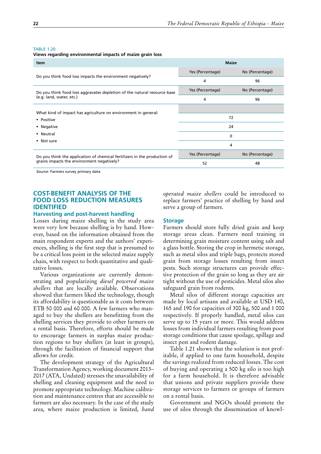#### <span id="page-41-0"></span>**TABLE 1.20**

**Views regarding environmental impacts of maize grain loss**

| <b>Item</b>                                                               | <b>Maize</b>     |                 |
|---------------------------------------------------------------------------|------------------|-----------------|
|                                                                           | Yes (Percentage) | No (Percentage) |
| Do you think food loss impacts the environment negatively?                | 4                | 96              |
| Do you think food loss aggravates depletion of the natural resource base  | Yes (Percentage) | No (Percentage) |
| (e.g. land, water, etc.)                                                  | 4                | 96              |
| What kind of impact has agriculture on environment in general:            |                  |                 |
| • Positive                                                                | 72               |                 |
| • Negative                                                                | 24               |                 |
| • Neutral                                                                 | 0                |                 |
| • Not sure                                                                | 4                |                 |
| Do you think the application of chemical fertilizers in the production of | Yes (Percentage) | No (Percentage) |
| grains impacts the environment negatively?                                | 52               | 48              |

*Source*: Farmers survey primary data

## **COST-BENEFIT ANALYSIS OF THE FOOD LOSS REDUCTION MEASURES IDENTIFIED**

#### **Harvesting and post-harvest handling**

Losses during maize shelling in the study area were very low because shelling is by hand. However, based on the information obtained from the main respondent experts and the authors' experiences, shelling is the first step that is presumed to be a critical loss point in the selected maize supply chain, with respect to both quantitative and qualitative losses.

Various organizations are currently demonstrating and popularizing *diesel powered maize shellers* that are locally available. Observations showed that farmers liked the technology, though its affordability is questionable as it costs between ETB 50 000 and 60 000. A few farmers who managed to buy the shellers are benefitting from the shelling services they provide to other farmers on a rental basis. Therefore, efforts should be made to encourage farmers in surplus maize production regions to buy shellers (at least in groups), through the facilitation of financial support that allows for credit.

The development strategy of the Agricultural Transformation Agency, working document 2013– 2017 (ATA, Undated) stresses the unavailability of shelling and cleaning equipment and the need to promote appropriate technology. Machine calibration and maintenance centres that are accessible to farmers are also necessary. In the case of the study area, where maize production is limited, *hand*  *operated maize shellers* could be introduced to replace farmers' practice of shelling by hand and serve a group of farmers.

### **Storage**

Farmers should store fully dried grain and keep storage areas clean. Farmers need training in determining grain moisture content using salt and a glass bottle. Storing the crop in hermetic storage, such as metal silos and triple bags, protects stored grain from storage losses resulting from insect pests. Such storage structures can provide effective protection of the grain so long as they are air tight without the use of pesticides. Metal silos also safeguard grain from rodents.

Metal silos of different storage capacities are made by local artisans and available at USD 140, 165 and 190 for capacities of 300 kg, 500 and 1 000 respectively. If properly handled, metal silos can serve up to 15 years or more. This would address losses from individual farmers resulting from poor storage conditions that cause spoilage, spillage and insect pest and rodent damage.

Table 1.21 shows that the solution is not profitable, if applied to one farm household, despite the savings realized from reduced losses. The cost of buying and operating a 500 kg silo is too high for a farm household. It is therefore advisable that unions and private suppliers provide these storage services to farmers or groups of farmers on a rental basis.

Government and NGOs should promote the use of silos through the dissemination of knowl-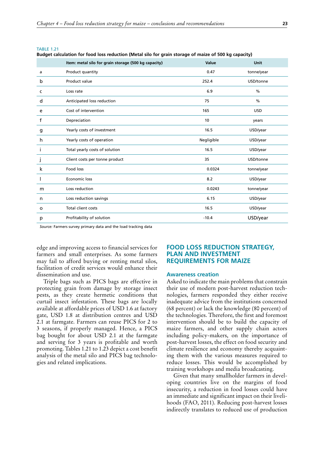<span id="page-42-0"></span>

|      | P. |  |  |
|------|----|--|--|
| -AD. |    |  |  |
|      |    |  |  |

**Budget calculation for food loss reduction (Metal silo for grain storage of maize of 500 kg capacity)**

|         | Item: metal silo for grain storage (500 kg capacity) | Value      | Unit          |
|---------|------------------------------------------------------|------------|---------------|
| a       | Product quantity                                     | 0.47       | tonne/year    |
| b       | Product value                                        | 252.4      | USD/tonne     |
| c       | Loss rate                                            | 6.9        | $\frac{0}{0}$ |
| d       | Anticipated loss reduction                           | 75         | $\frac{0}{0}$ |
| e       | Cost of intervention                                 | 165        | <b>USD</b>    |
| f       | Depreciation                                         | 10         | years         |
| g       | Yearly costs of investment                           | 16.5       | USD/year      |
| h       | Yearly costs of operation                            | Negligible | USD/year      |
| L       | Total yearly costs of solution                       | 16.5       | USD/year      |
| J       | Client costs per tonne product                       | 35         | USD/tonne     |
| k       | <b>Food loss</b>                                     | 0.0324     | tonne/year    |
|         | Economic loss                                        | 8.2        | USD/year      |
| m       | Loss reduction                                       | 0.0243     | tonne/year    |
| n       | Loss reduction savings                               | 6.15       | USD/year      |
| $\circ$ | <b>Total client costs</b>                            | 16.5       | USD/year      |
| p       | Profitability of solution                            | $-10.4$    | USD/year      |

*Source:* Farmers survey primary data and the load tracking data

edge and improving access to financial services for farmers and small enterprises. As some farmers may fail to afford buying or renting metal silos, facilitation of credit services would enhance their dissemination and use.

Triple bags such as PICS bags are effective in protecting grain from damage by storage insect pests, as they create hermetic conditions that curtail insect infestation. These bags are locally available at affordable prices of USD 1.6 at factory gate, USD 1.8 at distribution centres and USD 2.1 at farmgate. Farmers can reuse PICS for 2 to 3 seasons, if properly managed. Hence, a PICS bag bought for about USD 2.1 at the farmgate and serving for 3 years is profitable and worth promoting. Tables 1.21 to 1.23 depict a cost benefit analysis of the metal silo and PICS bag technologies and related implications.

## **FOOD LOSS REDUCTION STRATEGY, PLAN AND INVESTMENT REQUIREMENTS FOR MAIZE**

#### **Awareness creation**

Asked to indicate the main problems that constrain their use of modern post-harvest reduction technologies, farmers responded they either receive inadequate advice from the institutions concerned (68 percent) or lack the knowledge (80 percent) of the technologies. Therefore, the first and foremost intervention should be to build the capacity of maize farmers, and other supply chain actors including policy-makers, on the importance of post-harvest losses, the effect on food security and climate resilience and economy thereby acquainting them with the various measures required to reduce losses. This would be accomplished by training workshops and media broadcasting.

Given that many smallholder farmers in developing countries live on the margins of food insecurity, a reduction in food losses could have an immediate and significant impact on their livelihoods (FAO, 2011). Reducing post-harvest losses indirectly translates to reduced use of production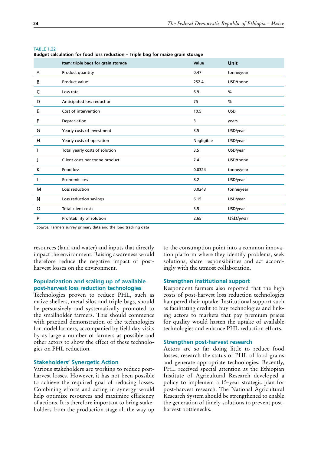|   | Item: triple bags for grain storage | Value      | Unit       |
|---|-------------------------------------|------------|------------|
| А | Product quantity                    | 0.47       | tonne/year |
| В | Product value                       | 252.4      | USD/tonne  |
| C | Loss rate                           | 6.9        | $\%$       |
| D | Anticipated loss reduction          | 75         | $\%$       |
| Е | Cost of intervention                | 10.5       | <b>USD</b> |
| F | Depreciation                        | 3          | years      |
| G | Yearly costs of investment          | 3.5        | USD/year   |
| н | Yearly costs of operation           | Negligible | USD/year   |
|   | Total yearly costs of solution      | 3.5        | USD/year   |
| J | Client costs per tonne product      | 7.4        | USD/tonne  |
| К | Food loss                           | 0.0324     | tonne/year |
| L | Economic loss                       | 8.2        | USD/year   |
| м | Loss reduction                      | 0.0243     | tonne/year |
| N | Loss reduction savings              | 6.15       | USD/year   |
| O | Total client costs                  | 3.5        | USD/year   |
| P | Profitability of solution           | 2.65       | USD/year   |

#### <span id="page-43-0"></span>**TABLE 1.22**

**Budget calculation for food loss reduction – Triple bag for maize grain storage**

*Source:* Farmers survey primary data and the load tracking data

resources (land and water) and inputs that directly impact the environment. Raising awareness would therefore reduce the negative impact of postharvest losses on the environment.

## **Popularization and scaling up of available post-harvest loss reduction technologies**

Technologies proven to reduce PHL, such as maize shellers, metal silos and triple-bags, should be persuasively and systematically promoted to the smallholder farmers. This should commence with practical demonstration of the technologies for model farmers, accompanied by field day visits by as large a number of farmers as possible and other actors to show the effect of these technologies on PHL reduction.

#### **Stakeholders' Synergetic Action**

Various stakeholders are working to reduce postharvest losses. However, it has not been possible to achieve the required goal of reducing losses. Combining efforts and acting in synergy would help optimize resources and maximize efficiency of actions. It is therefore important to bring stakeholders from the production stage all the way up

to the consumption point into a common innovation platform where they identify problems, seek solutions, share responsibilities and act accordingly with the utmost collaboration.

### **Strengthen institutional support**

Respondent farmers also reported that the high costs of post-harvest loss reduction technologies hampered their uptake. Institutional support such as facilitating credit to buy technologies and linking actors to markets that pay premium prices for quality would hasten the uptake of available technologies and enhance PHL reduction efforts.

#### **Strengthen post-harvest research**

Actors are so far doing little to reduce food losses, research the status of PHL of food grains and generate appropriate technologies. Recently, PHL received special attention as the Ethiopian Institute of Agricultural Research developed a policy to implement a 15-year strategic plan for post-harvest research. The National Agricultural Research System should be strengthened to enable the generation of timely solutions to prevent postharvest bottlenecks.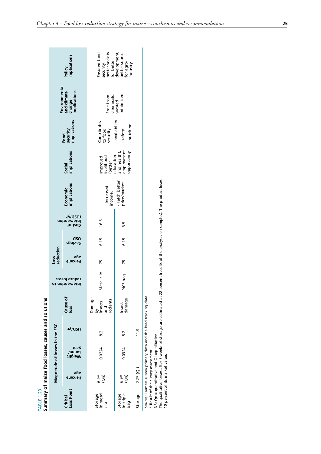| Summary of maize food losses, causes and solutions<br>TABLE 1.23 |                                                                      |                                                                                                              |               |                                           |                                 |                   |                |                                    |                                                                                                                                     |                                                        |                                           |                                       |                                                                                       |
|------------------------------------------------------------------|----------------------------------------------------------------------|--------------------------------------------------------------------------------------------------------------|---------------|-------------------------------------------|---------------------------------|-------------------|----------------|------------------------------------|-------------------------------------------------------------------------------------------------------------------------------------|--------------------------------------------------------|-------------------------------------------|---------------------------------------|---------------------------------------------------------------------------------------|
|                                                                  |                                                                      | Magnitude of losses in the FSC                                                                               |               |                                           |                                 | reduction<br>Loss |                |                                    |                                                                                                                                     |                                                        |                                           | Environmental                         |                                                                                       |
| Loss Point<br>Critical                                           | әбе<br>Percent-                                                      | veəv<br>tonne/<br>tonne/                                                                                     | νγισευ        | Cause of<br>loss                          | requce  osses<br>ot noitnevatnl | әбе<br>Percent-   | asn<br>zpnivs2 | Cost of<br>intervention<br>(USD/yr | Economic<br>implications                                                                                                            | Social<br>implications                                 | security<br>implications<br>Food          | change<br>implications<br>and climate | Policy<br>implications                                                                |
| in metal<br>Storage<br>silo                                      | င်္ခ<br>မိတ်                                                         | 0.0324                                                                                                       | 8.2           | Damage<br>rodents<br>by<br>insects<br>and | Metal silo                      | 75                | 6.15           | 16.5                               | - Increased<br>income,                                                                                                              | Improved<br>livelihood<br>(better                      | Contributes<br>to food<br>security        | Free from<br>chemicals,               | Ensured food<br>security,                                                             |
| in triple<br>Storage<br>bag                                      | $\widehat{\mathbf{g}}$<br>$6.9*$                                     | 0.0324                                                                                                       | $\frac{2}{8}$ | damage<br>Insect                          | PICS bag                        | 75                | 6.15           | 3.5                                | - Fetch better<br>price/market                                                                                                      | employment<br>opportunity<br>education<br>and health), | - availability<br>- nutrition<br>- safety | wasted<br>minimized                   | better society<br>for better<br>development,<br>better source<br>for agro-<br>ndustry |
| Storage                                                          | $22*(Q)$                                                             |                                                                                                              | 11.9          |                                           |                                 |                   |                |                                    |                                                                                                                                     |                                                        |                                           |                                       |                                                                                       |
|                                                                  | * Result of the survey assessment<br>10 percent of its market value. | Source: Farmers survey primary data and the load tracking data<br>NB: Qn = quantitative and QI = qualitative |               |                                           |                                 |                   |                |                                    | The qualitative losses after 5 weeks of storage are estimated at 22 percent (results of the analyses on samples). The product loses |                                                        |                                           |                                       |                                                                                       |

<span id="page-44-0"></span>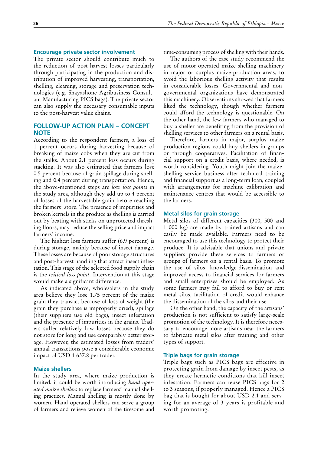## <span id="page-45-0"></span>**Encourage private sector involvement**

The private sector should contribute much to the reduction of post-harvest losses particularly through participating in the production and distribution of improved harvesting, transportation, shelling, cleaning, storage and preservation technologies (e.g. Shayashone Agribusiness Consultant Manufacturing PICS bags). The private sector can also supply the necessary consumable inputs to the post-harvest value chains.

## **FOLLOW-UP ACTION PLAN – CONCEPT NOTE**

According to the respondent farmers, a loss of 1 percent occurs during harvesting because of breaking of maize cobs when they are cut from the stalks. About 2.1 percent loss occurs during stacking. It was also estimated that farmers lose 0.5 percent because of grain spillage during shelling and 0.4 percent during transportation. Hence, the above-mentioned steps are *low loss points* in the study area, although they add up to 4 percent of losses of the harvestable grain before reaching the farmers' store. The presence of impurities and broken kernels in the produce as shelling is carried out by beating with sticks on unprotected threshing floors, may reduce the selling price and impact farmers' income.

The highest loss farmers suffer (6.9 percent) is during storage, mainly because of insect damage. These losses are because of poor storage structures and post-harvest handling that attract insect infestation. This stage of the selected food supply chain is the *critical loss point*. Intervention at this stage would make a significant difference.

As indicated above, wholesalers in the study area believe they lose 1.75 percent of the maize grain they transact because of loss of weight (the grain they purchase is improperly dried), spillage (their suppliers use old bags), insect infestation and the presence of impurities in the grains. Traders suffer relatively low losses because they do not store for long and use comparably better storage. However, the estimated losses from traders' annual transactions pose a considerable economic impact of USD 1 637.8 per trader.

## **Maize shellers**

In the study area, where maize production is limited, it could be worth introducing *hand operated maize shellers* to replace farmers' manual shelling practices. Manual shelling is mostly done by women. Hand operated shellers can serve a group of farmers and relieve women of the tiresome and

time-consuming process of shelling with their hands.

The authors of the case study recommend the use of motor-operated maize-shelling machinery in major or surplus maize-production areas, to avoid the laborious shelling activity that results in considerable losses. Governmental and nongovernmental organizations have demonstrated this machinery. Observations showed that farmers liked the technology, though whether farmers could afford the technology is questionable. On the other hand, the few farmers who managed to buy a sheller are benefiting from the provision of shelling services to other farmers on a rental basis.

Therefore, farmers in major, surplus maize production regions could buy shellers in groups or through cooperatives. Facilitation of financial support on a credit basis, where needed, is worth considering. Youth might join the maizeshelling service business after technical training and financial support as a long-term loan, coupled with arrangements for machine calibration and maintenance centres that would be accessible to the farmers.

#### **Metal silos for grain storage**

Metal silos of different capacities (300, 500 and 1 000 kg) are made by trained artisans and can easily be made available. Farmers need to be encouraged to use this technology to protect their produce. It is advisable that unions and private suppliers provide these services to farmers or groups of farmers on a rental basis. To promote the use of silos, knowledge-dissemination and improved access to financial services for farmers and small enterprises should be employed. As some farmers may fail to afford to buy or rent metal silos, facilitation of credit would enhance the dissemination of the silos and their use.

On the other hand, the capacity of the artisans' production is not sufficient to satisfy large-scale promotion of the technology. It is therefore necessary to encourage more artisans near the farmers to fabricate metal silos after training and other types of support.

## **Triple bags for grain storage**

Triple bags such as PICS bags are effective in protecting grain from damage by insect pests, as they create hermetic conditions that kill insect infestation. Farmers can reuse PICS bags for 2 to 3 seasons, if properly managed. Hence a PICS bag that is bought for about USD 2.1 and serving for an average of 3 years is profitable and worth promoting.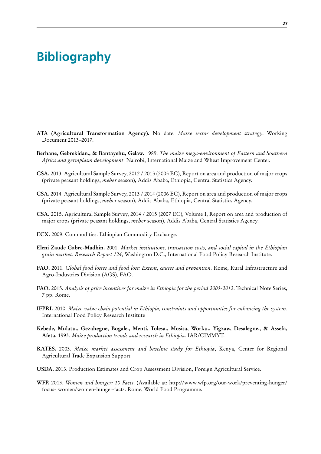## <span id="page-46-0"></span>**Bibliography**

- **ATA (Agricultural Transformation Agency).** No date. *Maize sector development strategy*. Working Document 2013–2017.
- **Berhane, Gebrekidan., & Bantayehu, Gelaw.** 1989. *The maize mega-environment of Eastern and Southern Africa and germplasm development*. Nairobi, International Maize and Wheat Improvement Center.
- **CSA.** 2013. Agricultural Sample Survey, 2012 / 2013 (2005 EC), Report on area and production of major crops (private peasant holdings, *meher* season), Addis Ababa, Ethiopia, Central Statistics Agency.
- **CSA.** 2014. Agricultural Sample Survey, 2013 / 2014 (2006 EC), Report on area and production of major crops (private peasant holdings, *meher* season), Addis Ababa, Ethiopia, Central Statistics Agency.
- **CSA.** 2015. Agricultural Sample Survey, 2014 / 2015 (2007 EC), Volume I, Report on area and production of major crops (private peasant holdings, *meher* season), Addis Ababa, Central Statistics Agency.
- **ECX.** 2009. Commodities. Ethiopian Commodity Exchange.
- **Eleni Zaude Gabre-Madhin.** 2001. *Market institutions, transaction costs, and social capital in the Ethiopian grain market. Research Report 124*, Washington D.C., International Food Policy Research Institute.
- **FAO.** 2011. *Global food losses and food loss: Extent, causes and prevention*. Rome, Rural Infrastructure and Agro-Industries Division (AGS), FAO.
- **FAO.** 2015. *Analysis of price incentives for maize in Ethiopia for the period 2005-2012*. Technical Note Series, 7 pp. Rome.
- **IFPRI.** 2010. *Maize value chain potential in Ethiopia, constraints and opportunities for enhancing the system.*  International Food Policy Research Institute
- **Kebede, Mulatu., Gezahegne, Bogale., Menti, Tolesa., Mosisa, Worku., Yigzaw, Desalegne., & Assefa, Afeta.** 1993. *Maize production trends and research in Ethiopia*. IAR/CIMMYT.
- **RATES.** 2003. *Maize market assessment and baseline study for Ethiopia*, Kenya, Center for Regional Agricultural Trade Expansion Support
- **USDA.** 2013. Production Estimates and Crop Assessment Division, Foreign Agricultural Service.
- **WFP.** 2013. *Women and hunger: 10 Facts*. (Available at: http://www.wfp.org/our-work/preventing-hunger/ focus- women/women-hunger-facts. Rome, World Food Programme.